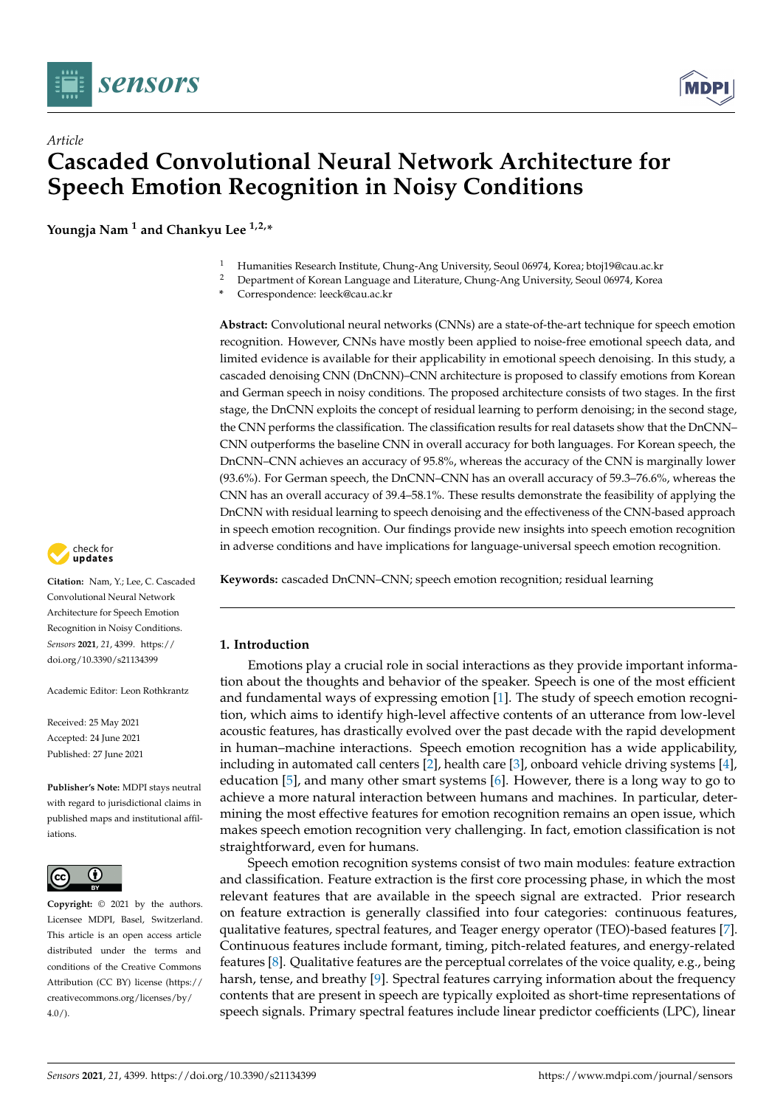

*Article*



# **Cascaded Convolutional Neural Network Architecture for Speech Emotion Recognition in Noisy Conditions**

**Youngja Nam <sup>1</sup> and Chankyu Lee 1,2,\***

- <sup>1</sup> Humanities Research Institute, Chung-Ang University, Seoul 06974, Korea; btoj19@cau.ac.kr<br><sup>2</sup> Department of Korean Language and Literature, Chung Ang University, Seoul 06974, Korea
- <sup>2</sup> Department of Korean Language and Literature, Chung-Ang University, Seoul 06974, Korea
- **\*** Correspondence: leeck@cau.ac.kr

**Abstract:** Convolutional neural networks (CNNs) are a state-of-the-art technique for speech emotion recognition. However, CNNs have mostly been applied to noise-free emotional speech data, and limited evidence is available for their applicability in emotional speech denoising. In this study, a cascaded denoising CNN (DnCNN)–CNN architecture is proposed to classify emotions from Korean and German speech in noisy conditions. The proposed architecture consists of two stages. In the first stage, the DnCNN exploits the concept of residual learning to perform denoising; in the second stage, the CNN performs the classification. The classification results for real datasets show that the DnCNN– CNN outperforms the baseline CNN in overall accuracy for both languages. For Korean speech, the DnCNN–CNN achieves an accuracy of 95.8%, whereas the accuracy of the CNN is marginally lower (93.6%). For German speech, the DnCNN–CNN has an overall accuracy of 59.3–76.6%, whereas the CNN has an overall accuracy of 39.4–58.1%. These results demonstrate the feasibility of applying the DnCNN with residual learning to speech denoising and the effectiveness of the CNN-based approach in speech emotion recognition. Our findings provide new insights into speech emotion recognition in adverse conditions and have implications for language-universal speech emotion recognition.





**Citation:** Nam, Y.; Lee, C. Cascaded Convolutional Neural Network Architecture for Speech Emotion Recognition in Noisy Conditions. *Sensors* **2021**, *21*, 4399. [https://](https://doi.org/10.3390/s21134399) [doi.org/10.3390/s21134399](https://doi.org/10.3390/s21134399)

Academic Editor: Leon Rothkrantz

Received: 25 May 2021 Accepted: 24 June 2021 Published: 27 June 2021

**Publisher's Note:** MDPI stays neutral with regard to jurisdictional claims in published maps and institutional affiliations.



**Copyright:** © 2021 by the authors. Licensee MDPI, Basel, Switzerland. This article is an open access article distributed under the terms and conditions of the Creative Commons Attribution (CC BY) license (https:/[/](https://creativecommons.org/licenses/by/4.0/) [creativecommons.org/licenses/by/](https://creativecommons.org/licenses/by/4.0/)  $4.0/$ ).

# **1. Introduction**

Emotions play a crucial role in social interactions as they provide important information about the thoughts and behavior of the speaker. Speech is one of the most efficient and fundamental ways of expressing emotion [\[1\]](#page-14-0). The study of speech emotion recognition, which aims to identify high-level affective contents of an utterance from low-level acoustic features, has drastically evolved over the past decade with the rapid development in human–machine interactions. Speech emotion recognition has a wide applicability, including in automated call centers [\[2\]](#page-14-1), health care [\[3\]](#page-14-2), onboard vehicle driving systems [\[4\]](#page-14-3), education [\[5\]](#page-14-4), and many other smart systems [\[6\]](#page-14-5). However, there is a long way to go to achieve a more natural interaction between humans and machines. In particular, determining the most effective features for emotion recognition remains an open issue, which makes speech emotion recognition very challenging. In fact, emotion classification is not straightforward, even for humans.

Speech emotion recognition systems consist of two main modules: feature extraction and classification. Feature extraction is the first core processing phase, in which the most relevant features that are available in the speech signal are extracted. Prior research on feature extraction is generally classified into four categories: continuous features, qualitative features, spectral features, and Teager energy operator (TEO)-based features [\[7\]](#page-14-6). Continuous features include formant, timing, pitch-related features, and energy-related features [\[8\]](#page-14-7). Qualitative features are the perceptual correlates of the voice quality, e.g., being harsh, tense, and breathy [\[9\]](#page-14-8). Spectral features carrying information about the frequency contents that are present in speech are typically exploited as short-time representations of speech signals. Primary spectral features include linear predictor coefficients (LPC), linear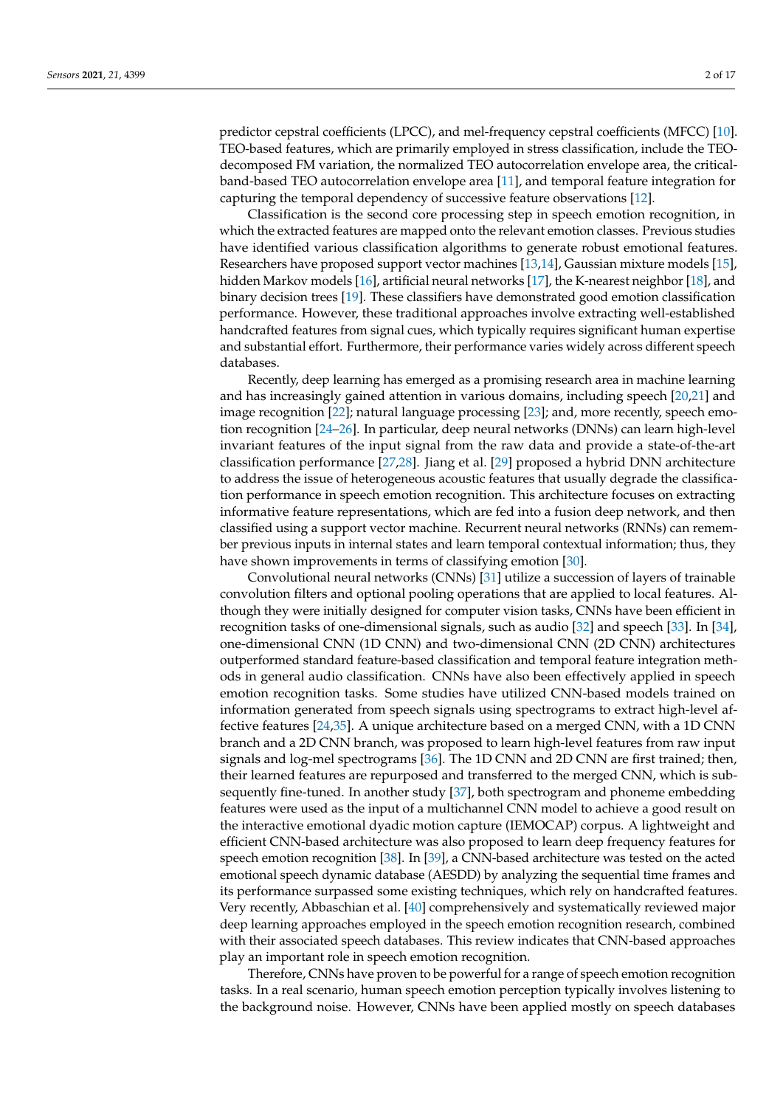predictor cepstral coefficients (LPCC), and mel-frequency cepstral coefficients (MFCC) [\[10\]](#page-14-9). TEO-based features, which are primarily employed in stress classification, include the TEOdecomposed FM variation, the normalized TEO autocorrelation envelope area, the criticalband-based TEO autocorrelation envelope area [\[11\]](#page-14-10), and temporal feature integration for capturing the temporal dependency of successive feature observations [\[12\]](#page-14-11).

Classification is the second core processing step in speech emotion recognition, in which the extracted features are mapped onto the relevant emotion classes. Previous studies have identified various classification algorithms to generate robust emotional features. Researchers have proposed support vector machines [\[13](#page-14-12)[,14\]](#page-14-13), Gaussian mixture models [\[15\]](#page-14-14), hidden Markov models [\[16\]](#page-14-15), artificial neural networks [\[17\]](#page-14-16), the K-nearest neighbor [\[18\]](#page-14-17), and binary decision trees [\[19\]](#page-14-18). These classifiers have demonstrated good emotion classification performance. However, these traditional approaches involve extracting well-established handcrafted features from signal cues, which typically requires significant human expertise and substantial effort. Furthermore, their performance varies widely across different speech databases.

Recently, deep learning has emerged as a promising research area in machine learning and has increasingly gained attention in various domains, including speech [\[20](#page-14-19)[,21\]](#page-14-20) and image recognition [\[22\]](#page-14-21); natural language processing [\[23\]](#page-15-0); and, more recently, speech emotion recognition [\[24–](#page-15-1)[26\]](#page-15-2). In particular, deep neural networks (DNNs) can learn high-level invariant features of the input signal from the raw data and provide a state-of-the-art classification performance [\[27](#page-15-3)[,28\]](#page-15-4). Jiang et al. [\[29\]](#page-15-5) proposed a hybrid DNN architecture to address the issue of heterogeneous acoustic features that usually degrade the classification performance in speech emotion recognition. This architecture focuses on extracting informative feature representations, which are fed into a fusion deep network, and then classified using a support vector machine. Recurrent neural networks (RNNs) can remember previous inputs in internal states and learn temporal contextual information; thus, they have shown improvements in terms of classifying emotion [\[30\]](#page-15-6).

Convolutional neural networks (CNNs) [\[31\]](#page-15-7) utilize a succession of layers of trainable convolution filters and optional pooling operations that are applied to local features. Although they were initially designed for computer vision tasks, CNNs have been efficient in recognition tasks of one-dimensional signals, such as audio [\[32\]](#page-15-8) and speech [\[33\]](#page-15-9). In [\[34\]](#page-15-10), one-dimensional CNN (1D CNN) and two-dimensional CNN (2D CNN) architectures outperformed standard feature-based classification and temporal feature integration methods in general audio classification. CNNs have also been effectively applied in speech emotion recognition tasks. Some studies have utilized CNN-based models trained on information generated from speech signals using spectrograms to extract high-level affective features [\[24,](#page-15-1)[35\]](#page-15-11). A unique architecture based on a merged CNN, with a 1D CNN branch and a 2D CNN branch, was proposed to learn high-level features from raw input signals and log-mel spectrograms [\[36\]](#page-15-12). The 1D CNN and 2D CNN are first trained; then, their learned features are repurposed and transferred to the merged CNN, which is subsequently fine-tuned. In another study [\[37\]](#page-15-13), both spectrogram and phoneme embedding features were used as the input of a multichannel CNN model to achieve a good result on the interactive emotional dyadic motion capture (IEMOCAP) corpus. A lightweight and efficient CNN-based architecture was also proposed to learn deep frequency features for speech emotion recognition [\[38\]](#page-15-14). In [\[39\]](#page-15-15), a CNN-based architecture was tested on the acted emotional speech dynamic database (AESDD) by analyzing the sequential time frames and its performance surpassed some existing techniques, which rely on handcrafted features. Very recently, Abbaschian et al. [\[40\]](#page-15-16) comprehensively and systematically reviewed major deep learning approaches employed in the speech emotion recognition research, combined with their associated speech databases. This review indicates that CNN-based approaches play an important role in speech emotion recognition.

Therefore, CNNs have proven to be powerful for a range of speech emotion recognition tasks. In a real scenario, human speech emotion perception typically involves listening to the background noise. However, CNNs have been applied mostly on speech databases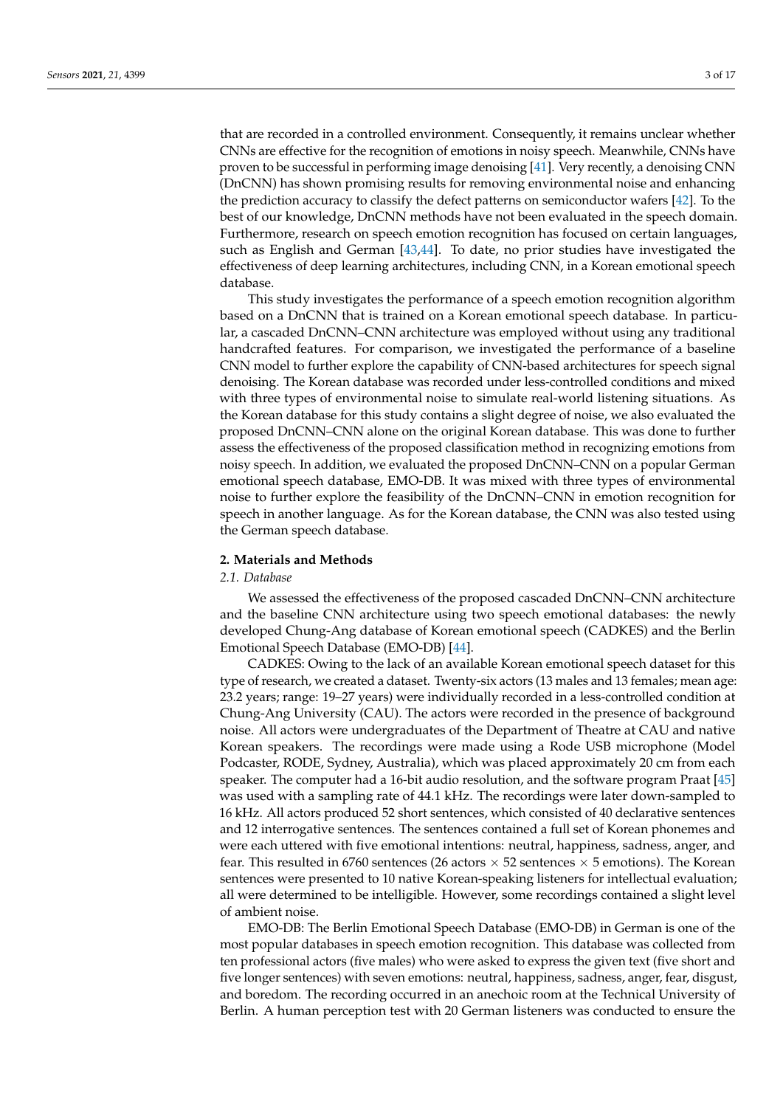that are recorded in a controlled environment. Consequently, it remains unclear whether CNNs are effective for the recognition of emotions in noisy speech. Meanwhile, CNNs have proven to be successful in performing image denoising [\[41\]](#page-15-17). Very recently, a denoising CNN (DnCNN) has shown promising results for removing environmental noise and enhancing the prediction accuracy to classify the defect patterns on semiconductor wafers [\[42\]](#page-15-18). To the best of our knowledge, DnCNN methods have not been evaluated in the speech domain. Furthermore, research on speech emotion recognition has focused on certain languages, such as English and German [\[43](#page-15-19)[,44\]](#page-15-20). To date, no prior studies have investigated the effectiveness of deep learning architectures, including CNN, in a Korean emotional speech database.

This study investigates the performance of a speech emotion recognition algorithm based on a DnCNN that is trained on a Korean emotional speech database. In particular, a cascaded DnCNN–CNN architecture was employed without using any traditional handcrafted features. For comparison, we investigated the performance of a baseline CNN model to further explore the capability of CNN-based architectures for speech signal denoising. The Korean database was recorded under less-controlled conditions and mixed with three types of environmental noise to simulate real-world listening situations. As the Korean database for this study contains a slight degree of noise, we also evaluated the proposed DnCNN–CNN alone on the original Korean database. This was done to further assess the effectiveness of the proposed classification method in recognizing emotions from noisy speech. In addition, we evaluated the proposed DnCNN–CNN on a popular German emotional speech database, EMO-DB. It was mixed with three types of environmental noise to further explore the feasibility of the DnCNN–CNN in emotion recognition for speech in another language. As for the Korean database, the CNN was also tested using the German speech database.

#### **2. Materials and Methods**

### *2.1. Database*

We assessed the effectiveness of the proposed cascaded DnCNN–CNN architecture and the baseline CNN architecture using two speech emotional databases: the newly developed Chung-Ang database of Korean emotional speech (CADKES) and the Berlin Emotional Speech Database (EMO-DB) [\[44\]](#page-15-20).

CADKES: Owing to the lack of an available Korean emotional speech dataset for this type of research, we created a dataset. Twenty-six actors (13 males and 13 females; mean age: 23.2 years; range: 19–27 years) were individually recorded in a less-controlled condition at Chung-Ang University (CAU). The actors were recorded in the presence of background noise. All actors were undergraduates of the Department of Theatre at CAU and native Korean speakers. The recordings were made using a Rode USB microphone (Model Podcaster, RODE, Sydney, Australia), which was placed approximately 20 cm from each speaker. The computer had a 16-bit audio resolution, and the software program Praat [\[45\]](#page-15-21) was used with a sampling rate of 44.1 kHz. The recordings were later down-sampled to 16 kHz. All actors produced 52 short sentences, which consisted of 40 declarative sentences and 12 interrogative sentences. The sentences contained a full set of Korean phonemes and were each uttered with five emotional intentions: neutral, happiness, sadness, anger, and fear. This resulted in 6760 sentences (26 actors  $\times$  52 sentences  $\times$  5 emotions). The Korean sentences were presented to 10 native Korean-speaking listeners for intellectual evaluation; all were determined to be intelligible. However, some recordings contained a slight level of ambient noise.

EMO-DB: The Berlin Emotional Speech Database (EMO-DB) in German is one of the most popular databases in speech emotion recognition. This database was collected from ten professional actors (five males) who were asked to express the given text (five short and five longer sentences) with seven emotions: neutral, happiness, sadness, anger, fear, disgust, and boredom. The recording occurred in an anechoic room at the Technical University of Berlin. A human perception test with 20 German listeners was conducted to ensure the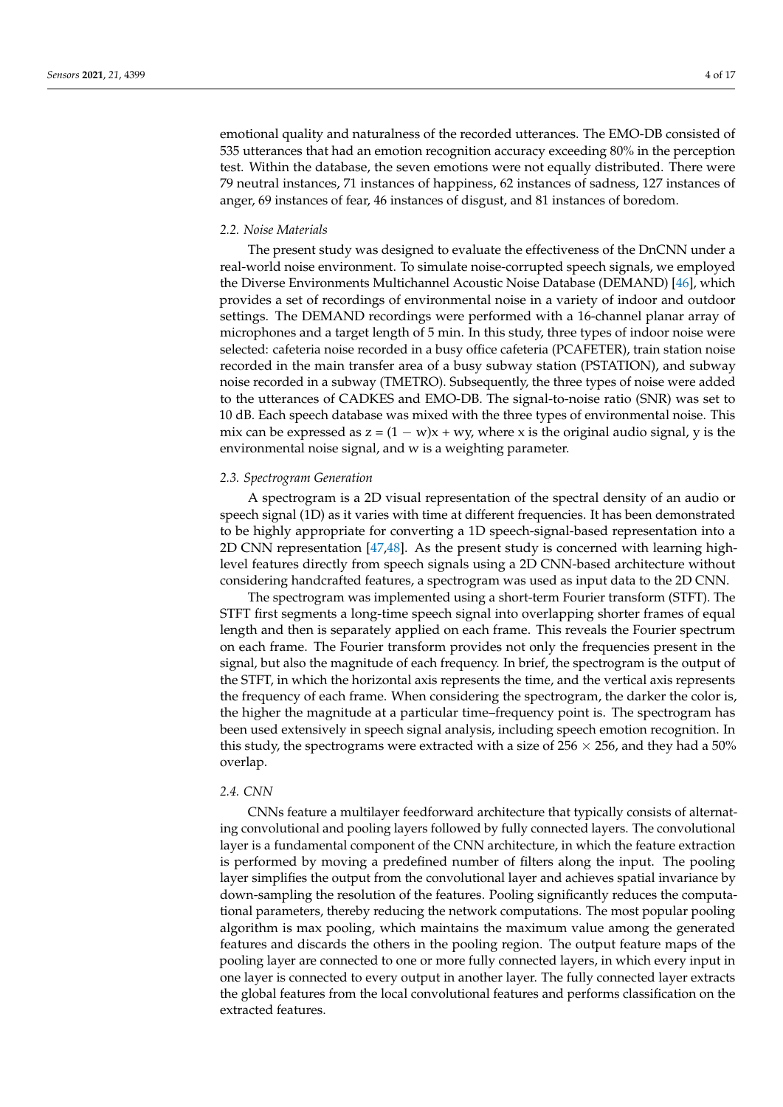emotional quality and naturalness of the recorded utterances. The EMO-DB consisted of 535 utterances that had an emotion recognition accuracy exceeding 80% in the perception test. Within the database, the seven emotions were not equally distributed. There were 79 neutral instances, 71 instances of happiness, 62 instances of sadness, 127 instances of anger, 69 instances of fear, 46 instances of disgust, and 81 instances of boredom.

# *2.2. Noise Materials*

The present study was designed to evaluate the effectiveness of the DnCNN under a real-world noise environment. To simulate noise-corrupted speech signals, we employed the Diverse Environments Multichannel Acoustic Noise Database (DEMAND) [\[46\]](#page-15-22), which provides a set of recordings of environmental noise in a variety of indoor and outdoor settings. The DEMAND recordings were performed with a 16-channel planar array of microphones and a target length of 5 min. In this study, three types of indoor noise were selected: cafeteria noise recorded in a busy office cafeteria (PCAFETER), train station noise recorded in the main transfer area of a busy subway station (PSTATION), and subway noise recorded in a subway (TMETRO). Subsequently, the three types of noise were added to the utterances of CADKES and EMO-DB. The signal-to-noise ratio (SNR) was set to 10 dB. Each speech database was mixed with the three types of environmental noise. This mix can be expressed as  $z = (1 - w)x + wy$ , where x is the original audio signal, y is the environmental noise signal, and w is a weighting parameter.

### *2.3. Spectrogram Generation*

A spectrogram is a 2D visual representation of the spectral density of an audio or speech signal (1D) as it varies with time at different frequencies. It has been demonstrated to be highly appropriate for converting a 1D speech-signal-based representation into a 2D CNN representation [\[47](#page-15-23)[,48\]](#page-16-0). As the present study is concerned with learning highlevel features directly from speech signals using a 2D CNN-based architecture without considering handcrafted features, a spectrogram was used as input data to the 2D CNN.

The spectrogram was implemented using a short-term Fourier transform (STFT). The STFT first segments a long-time speech signal into overlapping shorter frames of equal length and then is separately applied on each frame. This reveals the Fourier spectrum on each frame. The Fourier transform provides not only the frequencies present in the signal, but also the magnitude of each frequency. In brief, the spectrogram is the output of the STFT, in which the horizontal axis represents the time, and the vertical axis represents the frequency of each frame. When considering the spectrogram, the darker the color is, the higher the magnitude at a particular time–frequency point is. The spectrogram has been used extensively in speech signal analysis, including speech emotion recognition. In this study, the spectrograms were extracted with a size of  $256 \times 256$ , and they had a  $50\%$ overlap.

#### *2.4. CNN*

CNNs feature a multilayer feedforward architecture that typically consists of alternating convolutional and pooling layers followed by fully connected layers. The convolutional layer is a fundamental component of the CNN architecture, in which the feature extraction is performed by moving a predefined number of filters along the input. The pooling layer simplifies the output from the convolutional layer and achieves spatial invariance by down-sampling the resolution of the features. Pooling significantly reduces the computational parameters, thereby reducing the network computations. The most popular pooling algorithm is max pooling, which maintains the maximum value among the generated features and discards the others in the pooling region. The output feature maps of the pooling layer are connected to one or more fully connected layers, in which every input in one layer is connected to every output in another layer. The fully connected layer extracts the global features from the local convolutional features and performs classification on the extracted features.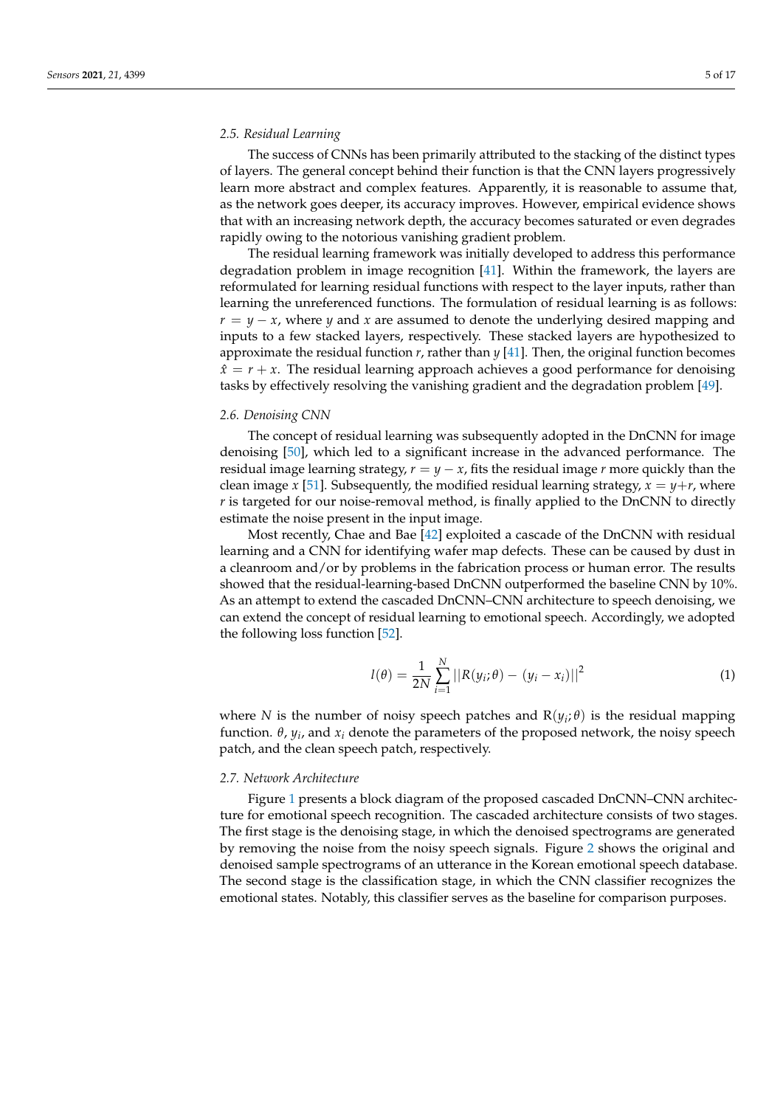# *2.5. Residual Learning*

The success of CNNs has been primarily attributed to the stacking of the distinct types of layers. The general concept behind their function is that the CNN layers progressively learn more abstract and complex features. Apparently, it is reasonable to assume that, as the network goes deeper, its accuracy improves. However, empirical evidence shows that with an increasing network depth, the accuracy becomes saturated or even degrades rapidly owing to the notorious vanishing gradient problem.

The residual learning framework was initially developed to address this performance degradation problem in image recognition [\[41\]](#page-15-17). Within the framework, the layers are reformulated for learning residual functions with respect to the layer inputs, rather than learning the unreferenced functions. The formulation of residual learning is as follows:  $r = y - x$ , where *y* and *x* are assumed to denote the underlying desired mapping and inputs to a few stacked layers, respectively. These stacked layers are hypothesized to approximate the residual function *r*, rather than *y* [\[41\]](#page-15-17). Then, the original function becomes  $\hat{x} = r + x$ . The residual learning approach achieves a good performance for denoising tasks by effectively resolving the vanishing gradient and the degradation problem [\[49\]](#page-16-1).

#### *2.6. Denoising CNN*

The concept of residual learning was subsequently adopted in the DnCNN for image denoising [\[50\]](#page-16-2), which led to a significant increase in the advanced performance. The residual image learning strategy,  $r = y - x$ , fits the residual image  $r$  more quickly than the clean image *x* [\[51\]](#page-16-3). Subsequently, the modified residual learning strategy,  $x = y+r$ , where *r* is targeted for our noise-removal method, is finally applied to the DnCNN to directly estimate the noise present in the input image.

Most recently, Chae and Bae [\[42\]](#page-15-18) exploited a cascade of the DnCNN with residual learning and a CNN for identifying wafer map defects. These can be caused by dust in a cleanroom and/or by problems in the fabrication process or human error. The results showed that the residual-learning-based DnCNN outperformed the baseline CNN by 10%. As an attempt to extend the cascaded DnCNN–CNN architecture to speech denoising, we can extend the concept of residual learning to emotional speech. Accordingly, we adopted the following loss function [\[52\]](#page-16-4).

$$
l(\theta) = \frac{1}{2N} \sum_{i=1}^{N} ||R(y_i; \theta) - (y_i - x_i)||^2
$$
 (1)

where *N* is the number of noisy speech patches and  $R(y_i;\theta)$  is the residual mapping function. *θ*, *y<sup>i</sup>* , and *x<sup>i</sup>* denote the parameters of the proposed network, the noisy speech patch, and the clean speech patch, respectively.

### *2.7. Network Architecture*

Figure [1](#page-5-0) presents a block diagram of the proposed cascaded DnCNN–CNN architecture for emotional speech recognition. The cascaded architecture consists of two stages. The first stage is the denoising stage, in which the denoised spectrograms are generated by removing the noise from the noisy speech signals. Figure [2](#page-5-1) shows the original and denoised sample spectrograms of an utterance in the Korean emotional speech database. The second stage is the classification stage, in which the CNN classifier recognizes the emotional states. Notably, this classifier serves as the baseline for comparison purposes.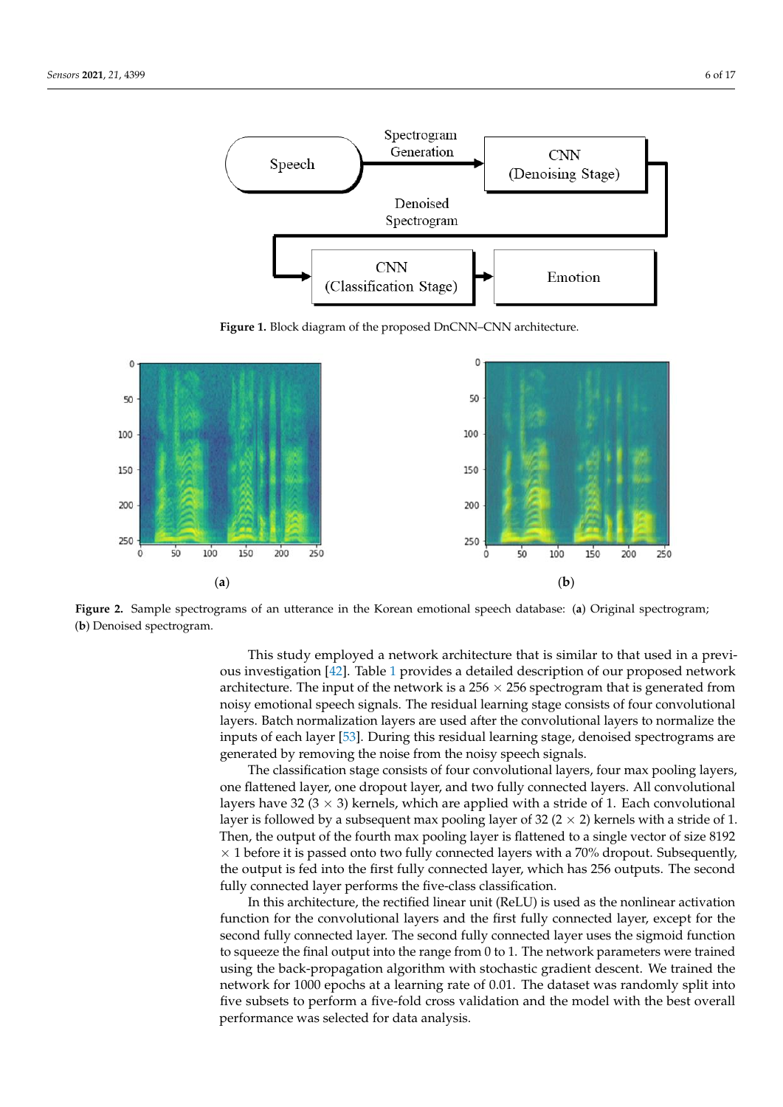<span id="page-5-0"></span>

The second stage is the classification stage, in which the CNN classifier recognizes the

**Figure 1.** Block diagram of the proposed DnCNN–CNN architecture. **Figure 1.** Block diagram of the proposed DnCNN–CNN architecture. **Figure 1.** Block diagram of the proposed DnCNN–CNN architecture.

<span id="page-5-1"></span>

 $\frac{1}{1}$  is similar to the inner to that is similar to that used in a previous in a previous  $\frac{1}{1}$  is similar to that used in a previous in a previous in a previous in a previous in a previous in a previous in a prev Figure 2. Sample spectrograms of an utterance in the Korean emotional speech database: (a) Original spectrogram; (**b**) Denoised spectrogram.

This study employed a network architecture that is similar to that used in a previous investigation [42]. Tabl[e 1 p](#page-15-18)rovide[s a](#page-6-0) detailed description of our proposed network des investigation [iii]. Batch i provides a detailed decemption or our proposed in architecture. The input of the network is a  $256 \times 256$  spectrogram that is generated from noisy emotional speech signals. The residual learning stage consists of four convolutional inputs of each layer [\[53\]](#page-16-5). During this residual learning stage, denoised spectrograms are generated by removing the noise from the noisy speech signals. ers. Batch normalization layers are used after the convolutional layers to normalize the layers. Batch normalization layers are used after the convolutional layers to normalize the

**Lawrence Construction** Superstanding Size of Tour Local Convocational Tay Cro, Tour La one flattened layer, one dropout layer, and two fully connected layers. All convolutional<br>
and the proposed case of the proposed case of the proposed of the proposed case of the proposed case of the pr  $\frac{1}{2}$   $\frac{1}{2}$   $\frac{1}{2}$   $\frac{1}{2}$   $\frac{1}{2}$   $\frac{1}{2}$   $\frac{1}{2}$   $\frac{1}{2}$   $\frac{1}{2}$   $\frac{1}{2}$   $\frac{1}{2}$   $\frac{1}{2}$   $\frac{1}{2}$   $\frac{1}{2}$   $\frac{1}{2}$   $\frac{1}{2}$   $\frac{1}{2}$   $\frac{1}{2}$   $\frac{1}{2}$   $\frac{1}{2}$   $\frac{1}{2}$   $\frac{1}{2}$   $\times$  1 before it is passed onto two fully connected layers with a 70% dropout. Subsequently, fully connected layer performs the five-class classification. **Denoising Stage** layer is followed by a subsequent max pooling layer of 32 (2 × 2) kernels with a stride of 1. Then, the output of the fourth max pooling layer is flattened to a single vector of size  $8192$ The classification stage consists of four convolutional layers, four max pooling layers, layers have 32 (3  $\times$  3) kernels, which are applied with a stride of 1. Each convolutional the output is fed into the first fully connected layer, which has 256 outputs. The second

function for the convolutional layers and the first fully connected layer, except for the to squeeze the final output into the range from 0 to 1. The network parameters were trained In this architecture, the rectified linear unit (ReLU) is used as the nonlinear activation second fully connected layer. The second fully connected layer uses the sigmoid function using the back-propagation algorithm with stochastic gradient descent. We trained the network for 1000 epochs at a learning rate of 0.01. The dataset was randomly split into five subsets to perform a five-fold cross validation and the model with the best overall performance was selected for data analysis.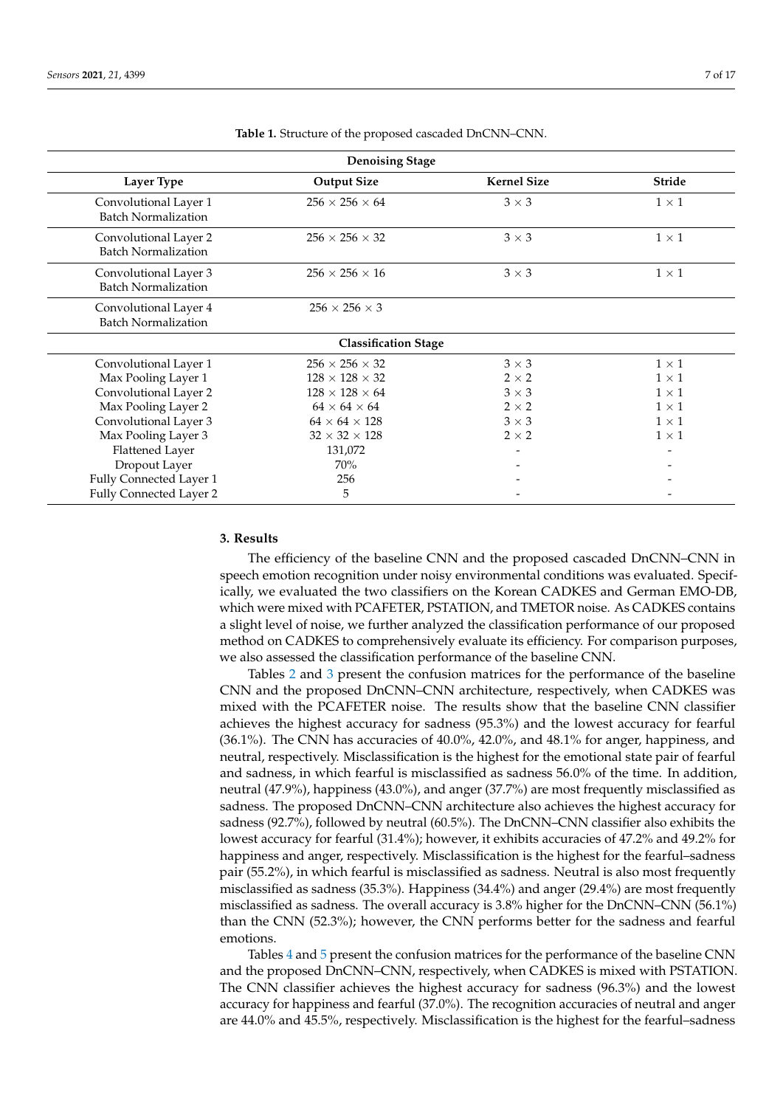<span id="page-6-0"></span>

| <b>Denoising Stage</b>                              |                             |                    |               |  |  |  |  |  |  |
|-----------------------------------------------------|-----------------------------|--------------------|---------------|--|--|--|--|--|--|
| <b>Layer Type</b>                                   | <b>Output Size</b>          | <b>Kernel Size</b> | <b>Stride</b> |  |  |  |  |  |  |
| Convolutional Layer 1<br><b>Batch Normalization</b> | $256 \times 256 \times 64$  | $3 \times 3$       | $1 \times 1$  |  |  |  |  |  |  |
| Convolutional Layer 2<br><b>Batch Normalization</b> | $256 \times 256 \times 32$  | $3 \times 3$       | $1 \times 1$  |  |  |  |  |  |  |
| Convolutional Layer 3<br><b>Batch Normalization</b> | $256 \times 256 \times 16$  | $3 \times 3$       | $1 \times 1$  |  |  |  |  |  |  |
| Convolutional Layer 4<br><b>Batch Normalization</b> | $256 \times 256 \times 3$   |                    |               |  |  |  |  |  |  |
|                                                     | <b>Classification Stage</b> |                    |               |  |  |  |  |  |  |
| Convolutional Layer 1                               | $256 \times 256 \times 32$  | $3 \times 3$       | $1 \times 1$  |  |  |  |  |  |  |
| Max Pooling Layer 1                                 | $128 \times 128 \times 32$  | $2 \times 2$       | $1 \times 1$  |  |  |  |  |  |  |
| Convolutional Layer 2                               | $128 \times 128 \times 64$  | $3 \times 3$       | $1 \times 1$  |  |  |  |  |  |  |
| Max Pooling Layer 2                                 | $64 \times 64 \times 64$    | $2 \times 2$       | $1 \times 1$  |  |  |  |  |  |  |
| Convolutional Layer 3                               | $64 \times 64 \times 128$   | $3 \times 3$       | $1 \times 1$  |  |  |  |  |  |  |
| Max Pooling Layer 3                                 | $32 \times 32 \times 128$   | $2 \times 2$       | $1 \times 1$  |  |  |  |  |  |  |
| <b>Flattened Layer</b>                              | 131,072                     |                    |               |  |  |  |  |  |  |
| Dropout Layer                                       | 70%                         |                    |               |  |  |  |  |  |  |
| Fully Connected Layer 1                             | 256                         |                    |               |  |  |  |  |  |  |
| Fully Connected Layer 2                             | 5                           |                    |               |  |  |  |  |  |  |

**Table 1.** Structure of the proposed cascaded DnCNN–CNN.

### **3. Results**

The efficiency of the baseline CNN and the proposed cascaded DnCNN–CNN in speech emotion recognition under noisy environmental conditions was evaluated. Specifically, we evaluated the two classifiers on the Korean CADKES and German EMO-DB, which were mixed with PCAFETER, PSTATION, and TMETOR noise. As CADKES contains a slight level of noise, we further analyzed the classification performance of our proposed method on CADKES to comprehensively evaluate its efficiency. For comparison purposes, we also assessed the classification performance of the baseline CNN.

Tables [2](#page-7-0) and [3](#page-7-1) present the confusion matrices for the performance of the baseline CNN and the proposed DnCNN–CNN architecture, respectively, when CADKES was mixed with the PCAFETER noise. The results show that the baseline CNN classifier achieves the highest accuracy for sadness (95.3%) and the lowest accuracy for fearful (36.1%). The CNN has accuracies of 40.0%, 42.0%, and 48.1% for anger, happiness, and neutral, respectively. Misclassification is the highest for the emotional state pair of fearful and sadness, in which fearful is misclassified as sadness 56.0% of the time. In addition, neutral (47.9%), happiness (43.0%), and anger (37.7%) are most frequently misclassified as sadness. The proposed DnCNN–CNN architecture also achieves the highest accuracy for sadness (92.7%), followed by neutral (60.5%). The DnCNN–CNN classifier also exhibits the lowest accuracy for fearful (31.4%); however, it exhibits accuracies of 47.2% and 49.2% for happiness and anger, respectively. Misclassification is the highest for the fearful–sadness pair (55.2%), in which fearful is misclassified as sadness. Neutral is also most frequently misclassified as sadness (35.3%). Happiness (34.4%) and anger (29.4%) are most frequently misclassified as sadness. The overall accuracy is 3.8% higher for the DnCNN–CNN (56.1%) than the CNN (52.3%); however, the CNN performs better for the sadness and fearful emotions.

Tables [4](#page-7-2) and [5](#page-8-0) present the confusion matrices for the performance of the baseline CNN and the proposed DnCNN–CNN, respectively, when CADKES is mixed with PSTATION. The CNN classifier achieves the highest accuracy for sadness (96.3%) and the lowest accuracy for happiness and fearful (37.0%). The recognition accuracies of neutral and anger are 44.0% and 45.5%, respectively. Misclassification is the highest for the fearful–sadness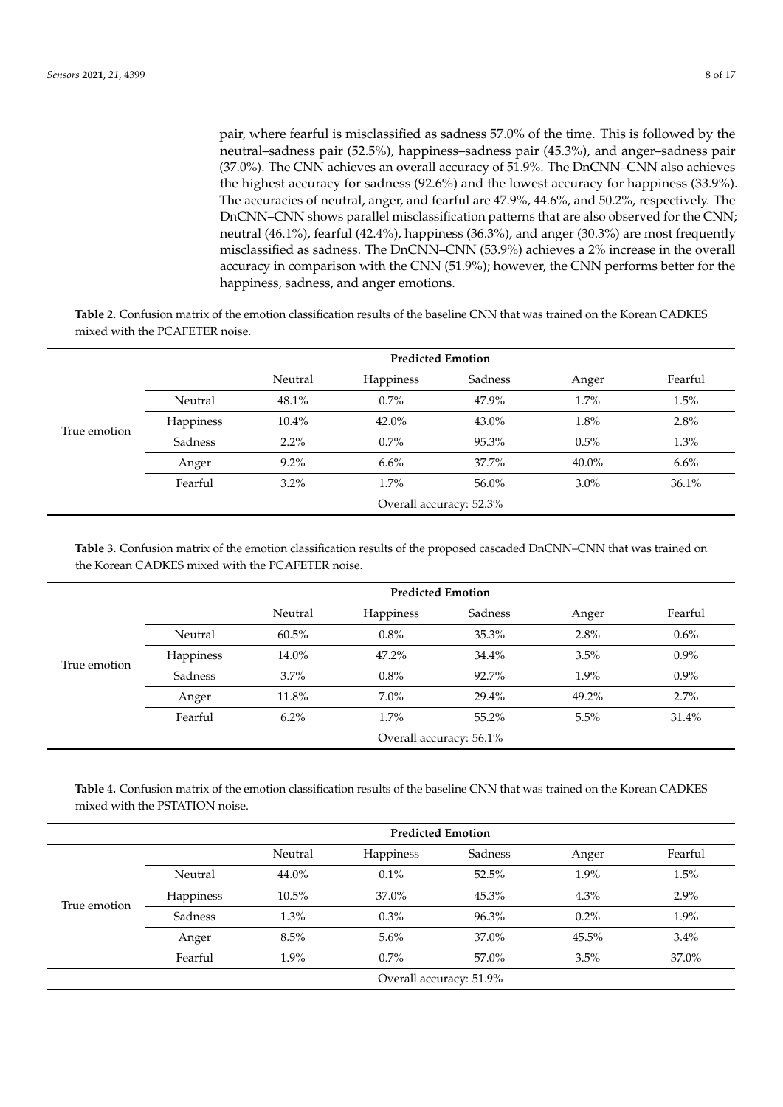pair, where fearful is misclassified as sadness 57.0% of the time. This is followed by the neutral–sadness pair (52.5%), happiness–sadness pair (45.3%), and anger–sadness pair (37.0%). The CNN achieves an overall accuracy of 51.9%. The DnCNN–CNN also achieves the highest accuracy for sadness (92.6%) and the lowest accuracy for happiness (33.9%). The accuracies of neutral, anger, and fearful are 47.9%, 44.6%, and 50.2%, respectively. The DnCNN–CNN shows parallel misclassification patterns that are also observed for the CNN; neutral (46.1%), fearful (42.4%), happiness (36.3%), and anger (30.3%) are most frequently misclassified as sadness. The DnCNN–CNN (53.9%) achieves a 2% increase in the overall accuracy in comparison with the CNN (51.9%); however, the CNN performs better for the happiness, sadness, and anger emotions.

<span id="page-7-0"></span>**Table 2.** Confusion matrix of the emotion classification results of the baseline CNN that was trained on the Korean CADKES mixed with the PCAFETER noise.

|              |                         | <b>Predicted Emotion</b> |           |         |          |         |  |  |
|--------------|-------------------------|--------------------------|-----------|---------|----------|---------|--|--|
|              |                         | Neutral                  | Happiness | Sadness | Anger    | Fearful |  |  |
| True emotion | Neutral                 | 48.1%                    | $0.7\%$   | 47.9%   | 1.7%     | 1.5%    |  |  |
|              | <b>Happiness</b>        | $10.4\%$                 | $42.0\%$  | 43.0%   | 1.8%     | 2.8%    |  |  |
|              | Sadness                 | $2.2\%$                  | $0.7\%$   | 95.3%   | 0.5%     | $1.3\%$ |  |  |
|              | Anger                   | $9.2\%$                  | 6.6%      | 37.7%   | $40.0\%$ | 6.6%    |  |  |
|              | Fearful                 | $3.2\%$                  | $1.7\%$   | 56.0%   | 3.0%     | 36.1%   |  |  |
|              | Overall accuracy: 52.3% |                          |           |         |          |         |  |  |

<span id="page-7-1"></span>**Table 3.** Confusion matrix of the emotion classification results of the proposed cascaded DnCNN–CNN that was trained on the Korean CADKES mixed with the PCAFETER noise.

|              |                         | <b>Predicted Emotion</b> |           |          |         |         |  |  |
|--------------|-------------------------|--------------------------|-----------|----------|---------|---------|--|--|
|              |                         | Neutral                  | Happiness | Sadness  | Anger   | Fearful |  |  |
|              | Neutral                 | 60.5%                    | $0.8\%$   | $35.3\%$ | 2.8%    | $0.6\%$ |  |  |
|              | <b>Happiness</b>        | 14.0%                    | $47.2\%$  | 34.4%    | 3.5%    | $0.9\%$ |  |  |
| True emotion | Sadness                 | 3.7%                     | $0.8\%$   | 92.7%    | $1.9\%$ | $0.9\%$ |  |  |
|              | Anger                   | 11.8%                    | $7.0\%$   | 29.4%    | 49.2%   | 2.7%    |  |  |
|              | Fearful                 | $6.2\%$                  | 1.7%      | $55.2\%$ | 5.5%    | 31.4%   |  |  |
|              | Overall accuracy: 56.1% |                          |           |          |         |         |  |  |

<span id="page-7-2"></span>**Table 4.** Confusion matrix of the emotion classification results of the baseline CNN that was trained on the Korean CADKES mixed with the PSTATION noise.

|              |                         | Neutral  | Happiness | Sadness  | Anger   | Fearful |  |  |
|--------------|-------------------------|----------|-----------|----------|---------|---------|--|--|
|              | Neutral                 | 44.0%    | $0.1\%$   | 52.5%    | $1.9\%$ | 1.5%    |  |  |
|              | Happiness               | $10.5\%$ | 37.0%     | $45.3\%$ | 4.3%    | 2.9%    |  |  |
| True emotion | Sadness                 | 1.3%     | $0.3\%$   | 96.3%    | $0.2\%$ | 1.9%    |  |  |
|              | Anger                   | 8.5%     | $5.6\%$   | $37.0\%$ | 45.5%   | 3.4%    |  |  |
|              | Fearful                 | 1.9%     | $0.7\%$   | 57.0%    | 3.5%    | 37.0%   |  |  |
|              | Overall accuracy: 51.9% |          |           |          |         |         |  |  |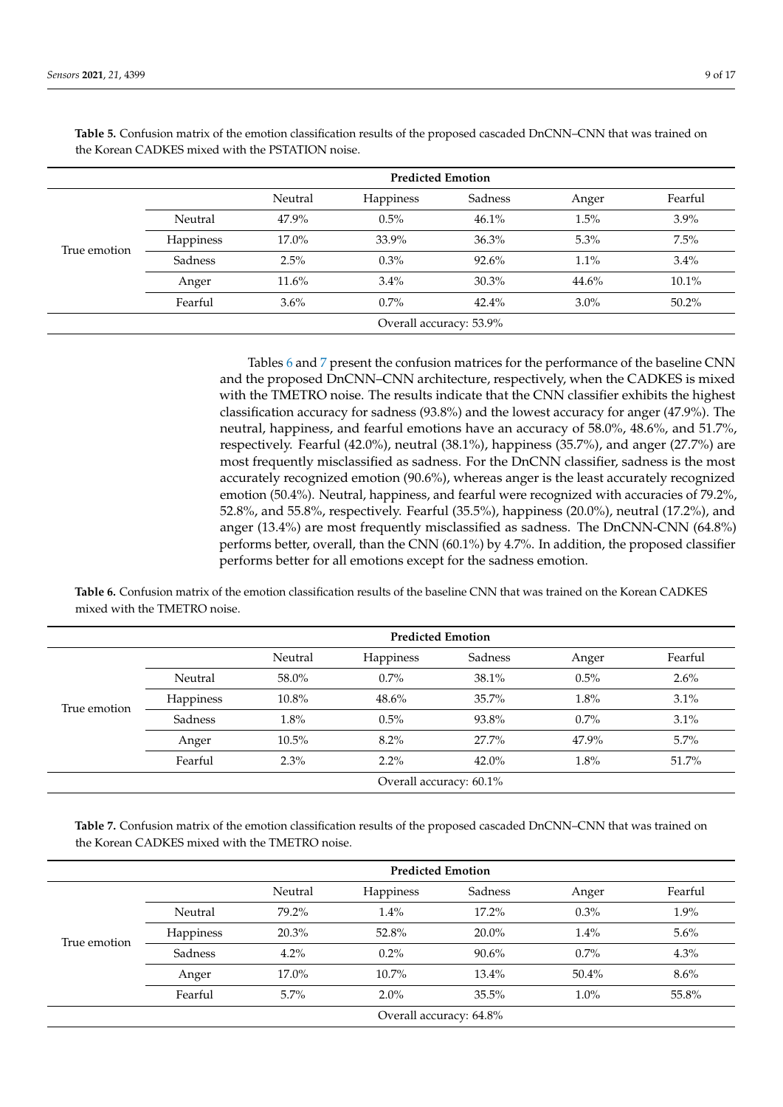|              |                         | <b>Predicted Emotion</b> |           |         |         |         |  |  |
|--------------|-------------------------|--------------------------|-----------|---------|---------|---------|--|--|
|              |                         | Neutral                  | Happiness | Sadness | Anger   | Fearful |  |  |
|              | Neutral                 | 47.9%                    | $0.5\%$   | 46.1%   | 1.5%    | $3.9\%$ |  |  |
|              | Happiness               | $17.0\%$                 | 33.9%     | 36.3%   | 5.3%    | 7.5%    |  |  |
| True emotion | Sadness                 | 2.5%                     | $0.3\%$   | 92.6%   | 1.1%    | 3.4%    |  |  |
|              | Anger                   | $11.6\%$                 | $3.4\%$   | 30.3%   | 44.6%   | 10.1%   |  |  |
|              | Fearful                 | 3.6%                     | $0.7\%$   | 42.4%   | $3.0\%$ | 50.2%   |  |  |
|              | Overall accuracy: 53.9% |                          |           |         |         |         |  |  |

<span id="page-8-0"></span>**Table 5.** Confusion matrix of the emotion classification results of the proposed cascaded DnCNN–CNN that was trained on the Korean CADKES mixed with the PSTATION noise.

> Tables [6](#page-8-1) and [7](#page-8-2) present the confusion matrices for the performance of the baseline CNN and the proposed DnCNN–CNN architecture, respectively, when the CADKES is mixed with the TMETRO noise. The results indicate that the CNN classifier exhibits the highest classification accuracy for sadness (93.8%) and the lowest accuracy for anger (47.9%). The neutral, happiness, and fearful emotions have an accuracy of 58.0%, 48.6%, and 51.7%, respectively. Fearful (42.0%), neutral (38.1%), happiness (35.7%), and anger (27.7%) are most frequently misclassified as sadness. For the DnCNN classifier, sadness is the most accurately recognized emotion (90.6%), whereas anger is the least accurately recognized emotion (50.4%). Neutral, happiness, and fearful were recognized with accuracies of 79.2%, 52.8%, and 55.8%, respectively. Fearful (35.5%), happiness (20.0%), neutral (17.2%), and anger (13.4%) are most frequently misclassified as sadness. The DnCNN-CNN (64.8%) performs better, overall, than the CNN (60.1%) by 4.7%. In addition, the proposed classifier performs better for all emotions except for the sadness emotion.

<span id="page-8-1"></span>**Table 6.** Confusion matrix of the emotion classification results of the baseline CNN that was trained on the Korean CADKES mixed with the TMETRO noise.

|              |                         | Neutral | <b>Happiness</b> | Sadness  | Anger | Fearful |  |  |
|--------------|-------------------------|---------|------------------|----------|-------|---------|--|--|
|              | Neutral                 | 58.0%   | $0.7\%$          | 38.1%    | 0.5%  | 2.6%    |  |  |
|              | Happiness               | 10.8%   | $48.6\%$         | 35.7%    | 1.8%  | 3.1%    |  |  |
| True emotion | Sadness                 | 1.8%    | 0.5%             | 93.8%    | 0.7%  | 3.1%    |  |  |
|              | Anger                   | 10.5%   | $8.2\%$          | 27.7%    | 47.9% | 5.7%    |  |  |
|              | Fearful                 | $2.3\%$ | $2.2\%$          | $42.0\%$ | 1.8%  |         |  |  |
|              | Overall accuracy: 60.1% |         |                  |          |       |         |  |  |

<span id="page-8-2"></span>**Table 7.** Confusion matrix of the emotion classification results of the proposed cascaded DnCNN–CNN that was trained on the Korean CADKES mixed with the TMETRO noise.

|              |           | <b>Predicted Emotion</b> |                         |          |         |         |  |  |
|--------------|-----------|--------------------------|-------------------------|----------|---------|---------|--|--|
|              |           | Neutral                  | Happiness               | Sadness  | Anger   | Fearful |  |  |
|              | Neutral   | 79.2%                    | 1.4%                    | $17.2\%$ | 0.3%    | 1.9%    |  |  |
|              | Happiness | 20.3%                    | 52.8%                   | $20.0\%$ | 1.4%    | 5.6%    |  |  |
| True emotion | Sadness   | $4.2\%$                  | $0.2\%$                 | $90.6\%$ | 0.7%    | 4.3%    |  |  |
|              | Anger     | 17.0%                    | $10.7\%$                | $13.4\%$ | 50.4%   | $8.6\%$ |  |  |
|              | Fearful   | $5.7\%$                  | $2.0\%$                 | 35.5%    | $1.0\%$ | 55.8%   |  |  |
|              |           |                          | Overall accuracy: 64.8% |          |         |         |  |  |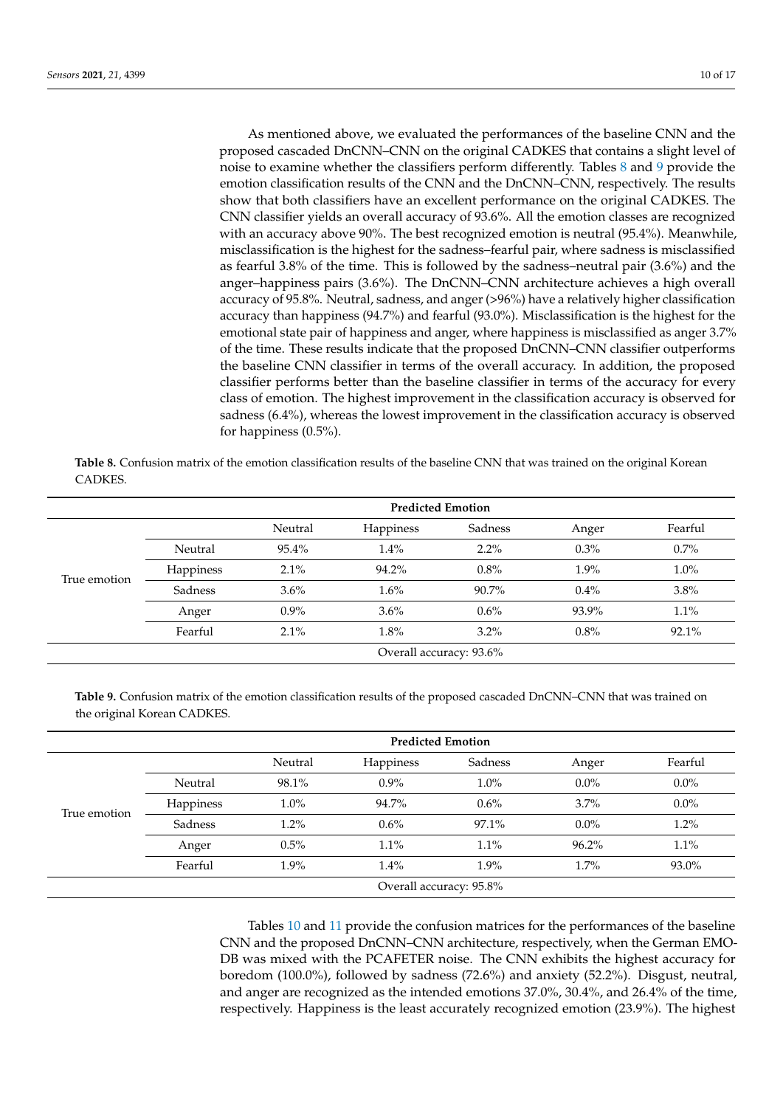As mentioned above, we evaluated the performances of the baseline CNN and the proposed cascaded DnCNN–CNN on the original CADKES that contains a slight level of noise to examine whether the classifiers perform differently. Tables [8](#page-9-0) and [9](#page-9-1) provide the emotion classification results of the CNN and the DnCNN–CNN, respectively. The results show that both classifiers have an excellent performance on the original CADKES. The CNN classifier yields an overall accuracy of 93.6%. All the emotion classes are recognized with an accuracy above 90%. The best recognized emotion is neutral (95.4%). Meanwhile, misclassification is the highest for the sadness–fearful pair, where sadness is misclassified as fearful 3.8% of the time. This is followed by the sadness–neutral pair (3.6%) and the anger–happiness pairs (3.6%). The DnCNN–CNN architecture achieves a high overall accuracy of 95.8%. Neutral, sadness, and anger (>96%) have a relatively higher classification accuracy than happiness (94.7%) and fearful (93.0%). Misclassification is the highest for the emotional state pair of happiness and anger, where happiness is misclassified as anger 3.7% of the time. These results indicate that the proposed DnCNN–CNN classifier outperforms the baseline CNN classifier in terms of the overall accuracy. In addition, the proposed classifier performs better than the baseline classifier in terms of the accuracy for every class of emotion. The highest improvement in the classification accuracy is observed for sadness (6.4%), whereas the lowest improvement in the classification accuracy is observed for happiness (0.5%).

<span id="page-9-0"></span>**Table 8.** Confusion matrix of the emotion classification results of the baseline CNN that was trained on the original Korean **CADKES** 

|              |                         | <b>Predicted Emotion</b> |           |         |         |         |  |  |
|--------------|-------------------------|--------------------------|-----------|---------|---------|---------|--|--|
|              |                         | Neutral                  | Happiness | Sadness | Anger   | Fearful |  |  |
|              | Neutral                 | 95.4%                    | $1.4\%$   | $2.2\%$ | 0.3%    | 0.7%    |  |  |
|              | Happiness               | 2.1%                     | 94.2%     | 0.8%    | $1.9\%$ | 1.0%    |  |  |
| True emotion | Sadness                 | 3.6%                     | 1.6%      | 90.7%   | $0.4\%$ | 3.8%    |  |  |
|              | Anger                   | $0.9\%$                  | 3.6%      | 0.6%    | 93.9%   | 1.1%    |  |  |
|              | Fearful                 | 2.1%                     | 1.8%      | $3.2\%$ | 0.8%    | 92.1%   |  |  |
|              | Overall accuracy: 93.6% |                          |           |         |         |         |  |  |

<span id="page-9-1"></span>**Table 9.** Confusion matrix of the emotion classification results of the proposed cascaded DnCNN–CNN that was trained on the original Korean CADKES.

|              |                         | <b>Predicted Emotion</b> |           |         |         |         |  |  |
|--------------|-------------------------|--------------------------|-----------|---------|---------|---------|--|--|
|              |                         | Neutral                  | Happiness | Sadness | Anger   | Fearful |  |  |
| True emotion | Neutral                 | 98.1%                    | $0.9\%$   | 1.0%    | $0.0\%$ | $0.0\%$ |  |  |
|              | <b>Happiness</b>        | $1.0\%$                  | 94.7%     | 0.6%    | $3.7\%$ | $0.0\%$ |  |  |
|              | Sadness                 | $1.2\%$                  | $0.6\%$   | 97.1%   | $0.0\%$ | 1.2%    |  |  |
|              | Anger                   | 0.5%                     | 1.1%      | 1.1%    | 96.2%   | 1.1%    |  |  |
|              | Fearful                 | 1.9%                     | 1.4%      | 1.9%    | 1.7%    | 93.0%   |  |  |
|              | Overall accuracy: 95.8% |                          |           |         |         |         |  |  |

Tables [10](#page-10-0) and [11](#page-10-1) provide the confusion matrices for the performances of the baseline CNN and the proposed DnCNN–CNN architecture, respectively, when the German EMO-DB was mixed with the PCAFETER noise. The CNN exhibits the highest accuracy for boredom (100.0%), followed by sadness (72.6%) and anxiety (52.2%). Disgust, neutral, and anger are recognized as the intended emotions 37.0%, 30.4%, and 26.4% of the time, respectively. Happiness is the least accurately recognized emotion (23.9%). The highest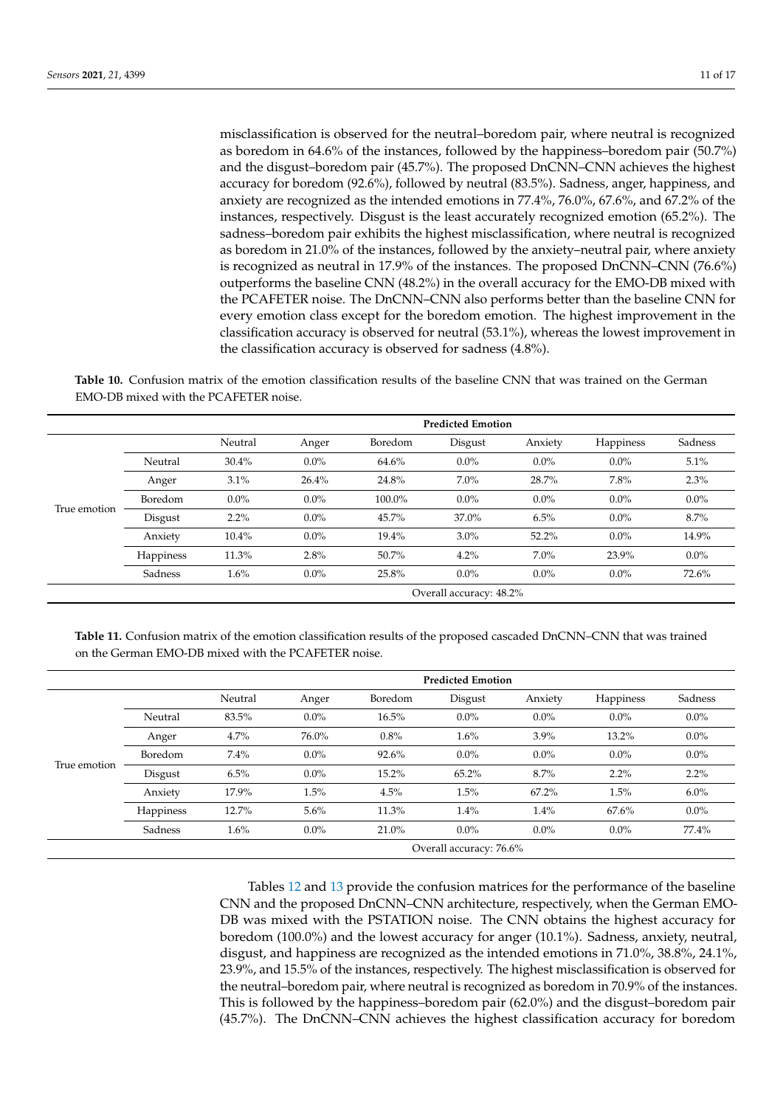misclassification is observed for the neutral–boredom pair, where neutral is recognized as boredom in 64.6% of the instances, followed by the happiness–boredom pair (50.7%) and the disgust–boredom pair (45.7%). The proposed DnCNN–CNN achieves the highest accuracy for boredom (92.6%), followed by neutral (83.5%). Sadness, anger, happiness, and anxiety are recognized as the intended emotions in 77.4%, 76.0%, 67.6%, and 67.2% of the instances, respectively. Disgust is the least accurately recognized emotion (65.2%). The sadness–boredom pair exhibits the highest misclassification, where neutral is recognized as boredom in 21.0% of the instances, followed by the anxiety–neutral pair, where anxiety is recognized as neutral in 17.9% of the instances. The proposed DnCNN–CNN (76.6%) outperforms the baseline CNN (48.2%) in the overall accuracy for the EMO-DB mixed with the PCAFETER noise. The DnCNN–CNN also performs better than the baseline CNN for every emotion class except for the boredom emotion. The highest improvement in the classification accuracy is observed for neutral (53.1%), whereas the lowest improvement in the classification accuracy is observed for sadness (4.8%).

<span id="page-10-0"></span>**Table 10.** Confusion matrix of the emotion classification results of the baseline CNN that was trained on the German EMO-DB mixed with the PCAFETER noise.

|              |                         | <b>Predicted Emotion</b> |         |         |         |          |                  |         |  |
|--------------|-------------------------|--------------------------|---------|---------|---------|----------|------------------|---------|--|
|              |                         | Neutral                  | Anger   | Boredom | Disgust | Anxiety  | <b>Happiness</b> | Sadness |  |
|              | Neutral                 | 30.4%                    | $0.0\%$ | 64.6%   | $0.0\%$ | $0.0\%$  | $0.0\%$          | 5.1%    |  |
|              | Anger                   | 3.1%                     | 26.4%   | 24.8%   | $7.0\%$ | 28.7%    | 7.8%             | 2.3%    |  |
|              | Boredom                 | $0.0\%$                  | $0.0\%$ | 100.0%  | $0.0\%$ | $0.0\%$  | $0.0\%$          | $0.0\%$ |  |
| True emotion | Disgust                 | $2.2\%$                  | $0.0\%$ | 45.7%   | 37.0%   | 6.5%     | $0.0\%$          | 8.7%    |  |
|              | Anxiety                 | 10.4%                    | $0.0\%$ | 19.4%   | $3.0\%$ | $52.2\%$ | $0.0\%$          | 14.9%   |  |
|              | Happiness               | 11.3%                    | 2.8%    | 50.7%   | 4.2%    | $7.0\%$  | 23.9%            | $0.0\%$ |  |
|              | Sadness                 | 1.6%                     | $0.0\%$ | 25.8%   | $0.0\%$ | $0.0\%$  | $0.0\%$          | 72.6%   |  |
|              | Overall accuracy: 48.2% |                          |         |         |         |          |                  |         |  |

<span id="page-10-1"></span>**Table 11.** Confusion matrix of the emotion classification results of the proposed cascaded DnCNN–CNN that was trained on the German EMO-DB mixed with the PCAFETER noise.

|              |                         | <b>Predicted Emotion</b> |         |         |          |          |                  |         |  |
|--------------|-------------------------|--------------------------|---------|---------|----------|----------|------------------|---------|--|
|              |                         | Neutral                  | Anger   | Boredom | Disgust  | Anxiety  | <b>Happiness</b> | Sadness |  |
|              | Neutral                 | 83.5%                    | $0.0\%$ | 16.5%   | $0.0\%$  | $0.0\%$  | $0.0\%$          | $0.0\%$ |  |
|              | Anger                   | 4.7%                     | 76.0%   | 0.8%    | 1.6%     | 3.9%     | 13.2%            | $0.0\%$ |  |
|              | Boredom                 | 7.4%                     | $0.0\%$ | 92.6%   | $0.0\%$  | $0.0\%$  | $0.0\%$          | $0.0\%$ |  |
| True emotion | Disgust                 | 6.5%                     | $0.0\%$ | 15.2%   | $65.2\%$ | 8.7%     | $2.2\%$          | $2.2\%$ |  |
|              | Anxiety                 | 17.9%                    | 1.5%    | 4.5%    | 1.5%     | $67.2\%$ | 1.5%             | 6.0%    |  |
|              | Happiness               | 12.7%                    | $5.6\%$ | 11.3%   | 1.4%     | 1.4%     | 67.6%            | $0.0\%$ |  |
|              | Sadness                 | 1.6%                     | $0.0\%$ | 21.0%   | $0.0\%$  | $0.0\%$  | $0.0\%$          | 77.4%   |  |
|              | Overall accuracy: 76.6% |                          |         |         |          |          |                  |         |  |

Tables [12](#page-11-0) and [13](#page-11-1) provide the confusion matrices for the performance of the baseline CNN and the proposed DnCNN–CNN architecture, respectively, when the German EMO-DB was mixed with the PSTATION noise. The CNN obtains the highest accuracy for boredom (100.0%) and the lowest accuracy for anger (10.1%). Sadness, anxiety, neutral, disgust, and happiness are recognized as the intended emotions in 71.0%, 38.8%, 24.1%, 23.9%, and 15.5% of the instances, respectively. The highest misclassification is observed for the neutral–boredom pair, where neutral is recognized as boredom in 70.9% of the instances. This is followed by the happiness–boredom pair (62.0%) and the disgust–boredom pair (45.7%). The DnCNN–CNN achieves the highest classification accuracy for boredom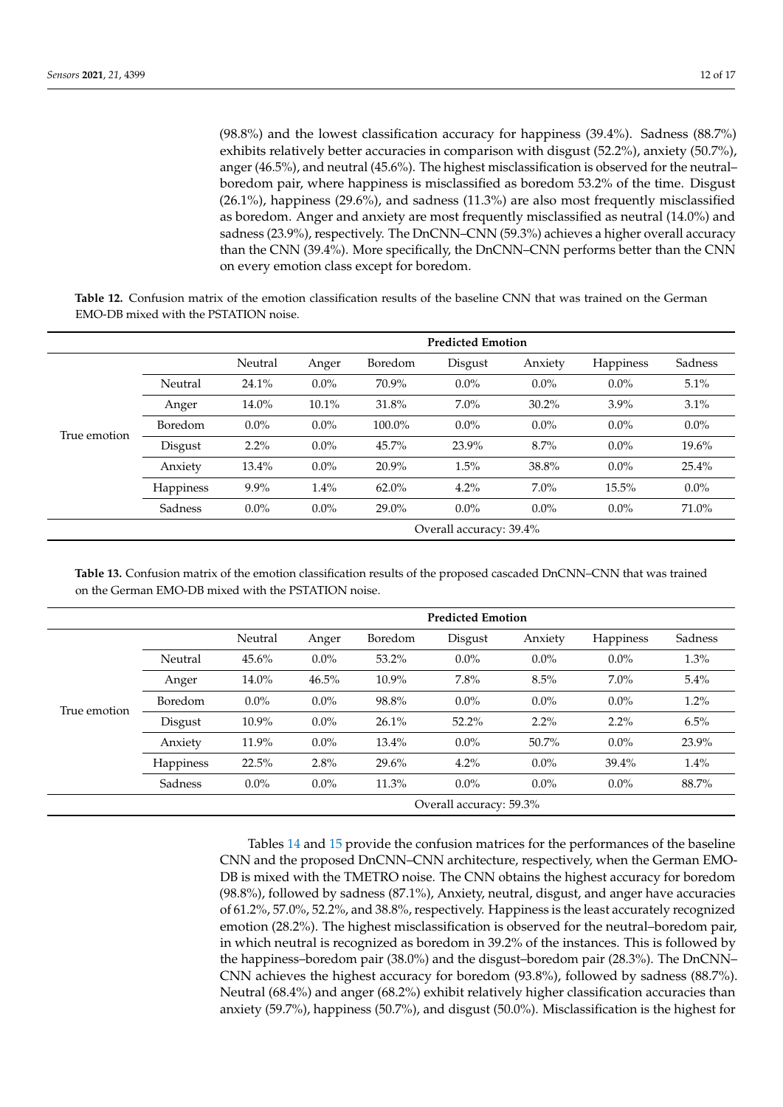(98.8%) and the lowest classification accuracy for happiness (39.4%). Sadness (88.7%) exhibits relatively better accuracies in comparison with disgust (52.2%), anxiety (50.7%), anger (46.5%), and neutral (45.6%). The highest misclassification is observed for the neutral– boredom pair, where happiness is misclassified as boredom 53.2% of the time. Disgust (26.1%), happiness (29.6%), and sadness (11.3%) are also most frequently misclassified as boredom. Anger and anxiety are most frequently misclassified as neutral (14.0%) and sadness (23.9%), respectively. The DnCNN–CNN (59.3%) achieves a higher overall accuracy than the CNN (39.4%). More specifically, the DnCNN–CNN performs better than the CNN on every emotion class except for boredom.

<span id="page-11-0"></span>**Table 12.** Confusion matrix of the emotion classification results of the baseline CNN that was trained on the German EMO-DB mixed with the PSTATION noise.

|              |                         | <b>Predicted Emotion</b> |         |          |         |          |           |         |  |
|--------------|-------------------------|--------------------------|---------|----------|---------|----------|-----------|---------|--|
|              |                         | Neutral                  | Anger   | Boredom  | Disgust | Anxiety  | Happiness | Sadness |  |
|              | Neutral                 | 24.1%                    | $0.0\%$ | 70.9%    | $0.0\%$ | $0.0\%$  | $0.0\%$   | 5.1%    |  |
|              | Anger                   | 14.0%                    | 10.1%   | 31.8%    | $7.0\%$ | $30.2\%$ | $3.9\%$   | 3.1%    |  |
|              | Boredom                 | $0.0\%$                  | $0.0\%$ | 100.0%   | $0.0\%$ | $0.0\%$  | $0.0\%$   | $0.0\%$ |  |
| True emotion | Disgust                 | $2.2\%$                  | $0.0\%$ | 45.7%    | 23.9%   | 8.7%     | $0.0\%$   | 19.6%   |  |
|              | Anxiety                 | 13.4%                    | $0.0\%$ | 20.9%    | 1.5%    | 38.8%    | $0.0\%$   | 25.4%   |  |
|              | Happiness               | 9.9%                     | 1.4%    | $62.0\%$ | 4.2%    | $7.0\%$  | 15.5%     | $0.0\%$ |  |
|              | Sadness                 | $0.0\%$                  | $0.0\%$ | 29.0%    | $0.0\%$ | $0.0\%$  | $0.0\%$   | 71.0%   |  |
|              | Overall accuracy: 39.4% |                          |         |          |         |          |           |         |  |

<span id="page-11-1"></span>**Table 13.** Confusion matrix of the emotion classification results of the proposed cascaded DnCNN–CNN that was trained on the German EMO-DB mixed with the PSTATION noise.

|              |                         | <b>Predicted Emotion</b> |         |         |         |         |           |         |
|--------------|-------------------------|--------------------------|---------|---------|---------|---------|-----------|---------|
|              |                         | Neutral                  | Anger   | Boredom | Disgust | Anxiety | Happiness | Sadness |
| True emotion | Neutral                 | 45.6%                    | $0.0\%$ | 53.2%   | $0.0\%$ | $0.0\%$ | $0.0\%$   | 1.3%    |
|              | Anger                   | 14.0%                    | 46.5%   | 10.9%   | 7.8%    | 8.5%    | $7.0\%$   | 5.4%    |
|              | Boredom                 | $0.0\%$                  | $0.0\%$ | 98.8%   | $0.0\%$ | $0.0\%$ | $0.0\%$   | 1.2%    |
|              | Disgust                 | 10.9%                    | $0.0\%$ | 26.1%   | 52.2%   | $2.2\%$ | $2.2\%$   | 6.5%    |
|              | Anxiety                 | 11.9%                    | $0.0\%$ | 13.4%   | $0.0\%$ | 50.7%   | $0.0\%$   | 23.9%   |
|              | Happiness               | 22.5%                    | 2.8%    | 29.6%   | 4.2%    | $0.0\%$ | 39.4%     | 1.4%    |
|              | Sadness                 | $0.0\%$                  | $0.0\%$ | 11.3%   | $0.0\%$ | $0.0\%$ | $0.0\%$   | 88.7%   |
|              | Overall accuracy: 59.3% |                          |         |         |         |         |           |         |

Tables [14](#page-12-0) and [15](#page-12-1) provide the confusion matrices for the performances of the baseline CNN and the proposed DnCNN–CNN architecture, respectively, when the German EMO-DB is mixed with the TMETRO noise. The CNN obtains the highest accuracy for boredom (98.8%), followed by sadness (87.1%), Anxiety, neutral, disgust, and anger have accuracies of 61.2%, 57.0%, 52.2%, and 38.8%, respectively. Happiness is the least accurately recognized emotion (28.2%). The highest misclassification is observed for the neutral–boredom pair, in which neutral is recognized as boredom in 39.2% of the instances. This is followed by the happiness–boredom pair (38.0%) and the disgust–boredom pair (28.3%). The DnCNN– CNN achieves the highest accuracy for boredom (93.8%), followed by sadness (88.7%). Neutral (68.4%) and anger (68.2%) exhibit relatively higher classification accuracies than anxiety (59.7%), happiness (50.7%), and disgust (50.0%). Misclassification is the highest for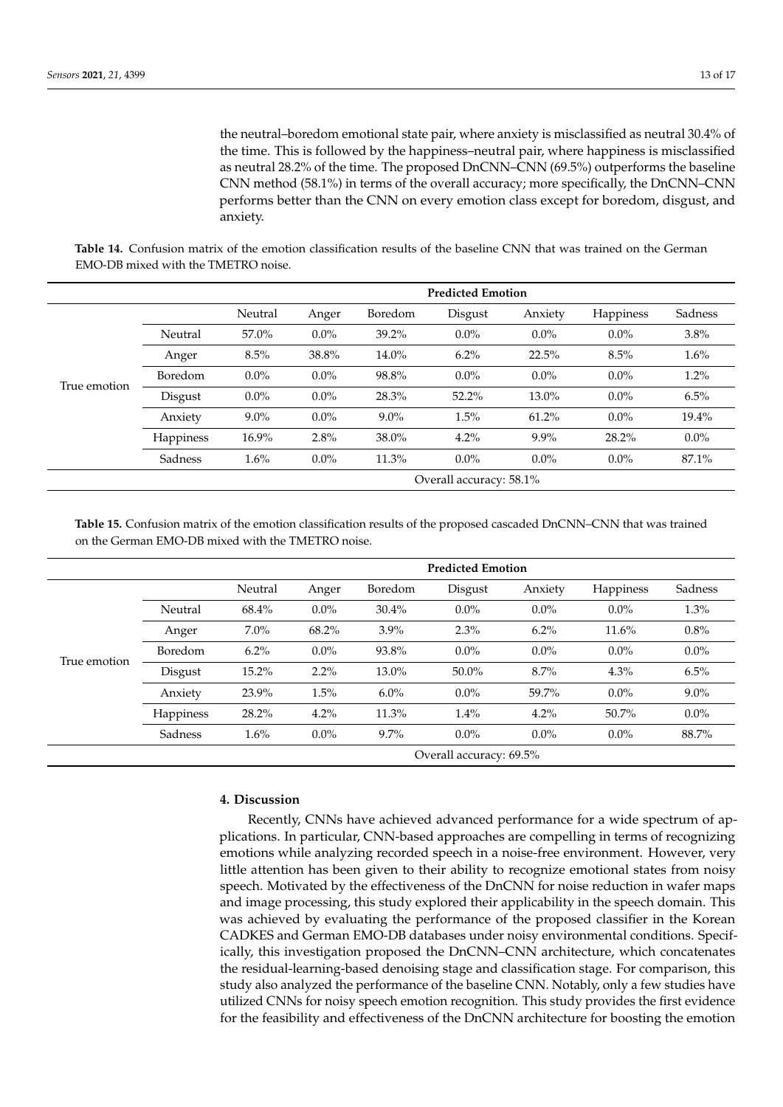the neutral–boredom emotional state pair, where anxiety is misclassified as neutral 30.4% of the time. This is followed by the happiness–neutral pair, where happiness is misclassified as neutral 28.2% of the time. The proposed DnCNN–CNN (69.5%) outperforms the baseline CNN method (58.1%) in terms of the overall accuracy; more specifically, the DnCNN–CNN performs better than the CNN on every emotion class except for boredom, disgust, and anxiety.

<span id="page-12-0"></span>**Table 14.** Confusion matrix of the emotion classification results of the baseline CNN that was trained on the German EMO-DB mixed with the TMETRO noise.

|              |                         | <b>Predicted Emotion</b> |         |         |         |         |           |         |
|--------------|-------------------------|--------------------------|---------|---------|---------|---------|-----------|---------|
|              |                         | Neutral                  | Anger   | Boredom | Disgust | Anxiety | Happiness | Sadness |
| True emotion | Neutral                 | 57.0%                    | $0.0\%$ | 39.2%   | $0.0\%$ | $0.0\%$ | $0.0\%$   | 3.8%    |
|              | Anger                   | 8.5%                     | 38.8%   | 14.0%   | 6.2%    | 22.5%   | 8.5%      | 1.6%    |
|              | Boredom                 | $0.0\%$                  | $0.0\%$ | 98.8%   | $0.0\%$ | $0.0\%$ | $0.0\%$   | $1.2\%$ |
|              | Disgust                 | $0.0\%$                  | $0.0\%$ | 28.3%   | 52.2%   | 13.0%   | $0.0\%$   | 6.5%    |
|              | Anxiety                 | $9.0\%$                  | $0.0\%$ | $9.0\%$ | 1.5%    | 61.2%   | $0.0\%$   | 19.4%   |
|              | Happiness               | 16.9%                    | 2.8%    | 38.0%   | 4.2%    | $9.9\%$ | 28.2%     | $0.0\%$ |
|              | Sadness                 | 1.6%                     | $0.0\%$ | 11.3%   | $0.0\%$ | $0.0\%$ | $0.0\%$   | 87.1%   |
|              | Overall accuracy: 58.1% |                          |         |         |         |         |           |         |

<span id="page-12-1"></span>**Table 15.** Confusion matrix of the emotion classification results of the proposed cascaded DnCNN–CNN that was trained on the German EMO-DB mixed with the TMETRO noise.

|              |                         | <b>Predicted Emotion</b> |         |          |          |         |           |         |
|--------------|-------------------------|--------------------------|---------|----------|----------|---------|-----------|---------|
|              |                         | Neutral                  | Anger   | Boredom  | Disgust  | Anxiety | Happiness | Sadness |
| True emotion | Neutral                 | 68.4%                    | $0.0\%$ | $30.4\%$ | $0.0\%$  | $0.0\%$ | $0.0\%$   | 1.3%    |
|              | Anger                   | $7.0\%$                  | 68.2%   | $3.9\%$  | 2.3%     | $6.2\%$ | 11.6%     | 0.8%    |
|              | Boredom                 | $6.2\%$                  | $0.0\%$ | 93.8%    | $0.0\%$  | $0.0\%$ | $0.0\%$   | $0.0\%$ |
|              | Disgust                 | 15.2%                    | $2.2\%$ | 13.0%    | $50.0\%$ | 8.7%    | 4.3%      | 6.5%    |
|              | Anxiety                 | 23.9%                    | 1.5%    | $6.0\%$  | $0.0\%$  | 59.7%   | $0.0\%$   | $9.0\%$ |
|              | Happiness               | 28.2%                    | 4.2%    | 11.3%    | 1.4%     | 4.2%    | 50.7%     | $0.0\%$ |
|              | Sadness                 | 1.6%                     | $0.0\%$ | $9.7\%$  | $0.0\%$  | $0.0\%$ | $0.0\%$   | 88.7%   |
|              | Overall accuracy: 69.5% |                          |         |          |          |         |           |         |

# **4. Discussion**

Recently, CNNs have achieved advanced performance for a wide spectrum of applications. In particular, CNN-based approaches are compelling in terms of recognizing emotions while analyzing recorded speech in a noise-free environment. However, very little attention has been given to their ability to recognize emotional states from noisy speech. Motivated by the effectiveness of the DnCNN for noise reduction in wafer maps and image processing, this study explored their applicability in the speech domain. This was achieved by evaluating the performance of the proposed classifier in the Korean CADKES and German EMO-DB databases under noisy environmental conditions. Specifically, this investigation proposed the DnCNN–CNN architecture, which concatenates the residual-learning-based denoising stage and classification stage. For comparison, this study also analyzed the performance of the baseline CNN. Notably, only a few studies have utilized CNNs for noisy speech emotion recognition. This study provides the first evidence for the feasibility and effectiveness of the DnCNN architecture for boosting the emotion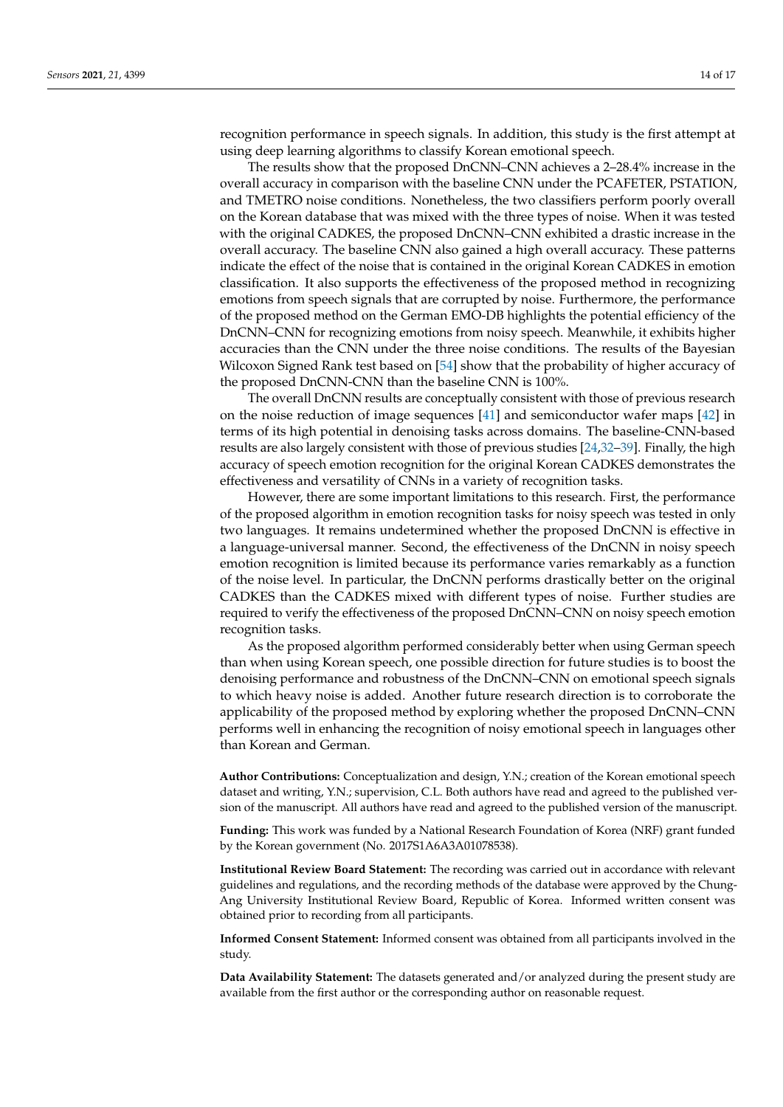recognition performance in speech signals. In addition, this study is the first attempt at using deep learning algorithms to classify Korean emotional speech.

The results show that the proposed DnCNN–CNN achieves a 2–28.4% increase in the overall accuracy in comparison with the baseline CNN under the PCAFETER, PSTATION, and TMETRO noise conditions. Nonetheless, the two classifiers perform poorly overall on the Korean database that was mixed with the three types of noise. When it was tested with the original CADKES, the proposed DnCNN–CNN exhibited a drastic increase in the overall accuracy. The baseline CNN also gained a high overall accuracy. These patterns indicate the effect of the noise that is contained in the original Korean CADKES in emotion classification. It also supports the effectiveness of the proposed method in recognizing emotions from speech signals that are corrupted by noise. Furthermore, the performance of the proposed method on the German EMO-DB highlights the potential efficiency of the DnCNN–CNN for recognizing emotions from noisy speech. Meanwhile, it exhibits higher accuracies than the CNN under the three noise conditions. The results of the Bayesian Wilcoxon Signed Rank test based on [\[54\]](#page-16-6) show that the probability of higher accuracy of the proposed DnCNN-CNN than the baseline CNN is 100%.

The overall DnCNN results are conceptually consistent with those of previous research on the noise reduction of image sequences [\[41\]](#page-15-17) and semiconductor wafer maps [\[42\]](#page-15-18) in terms of its high potential in denoising tasks across domains. The baseline-CNN-based results are also largely consistent with those of previous studies [\[24](#page-15-1)[,32–](#page-15-8)[39\]](#page-15-15). Finally, the high accuracy of speech emotion recognition for the original Korean CADKES demonstrates the effectiveness and versatility of CNNs in a variety of recognition tasks.

However, there are some important limitations to this research. First, the performance of the proposed algorithm in emotion recognition tasks for noisy speech was tested in only two languages. It remains undetermined whether the proposed DnCNN is effective in a language-universal manner. Second, the effectiveness of the DnCNN in noisy speech emotion recognition is limited because its performance varies remarkably as a function of the noise level. In particular, the DnCNN performs drastically better on the original CADKES than the CADKES mixed with different types of noise. Further studies are required to verify the effectiveness of the proposed DnCNN–CNN on noisy speech emotion recognition tasks.

As the proposed algorithm performed considerably better when using German speech than when using Korean speech, one possible direction for future studies is to boost the denoising performance and robustness of the DnCNN–CNN on emotional speech signals to which heavy noise is added. Another future research direction is to corroborate the applicability of the proposed method by exploring whether the proposed DnCNN–CNN performs well in enhancing the recognition of noisy emotional speech in languages other than Korean and German.

**Author Contributions:** Conceptualization and design, Y.N.; creation of the Korean emotional speech dataset and writing, Y.N.; supervision, C.L. Both authors have read and agreed to the published version of the manuscript. All authors have read and agreed to the published version of the manuscript.

**Funding:** This work was funded by a National Research Foundation of Korea (NRF) grant funded by the Korean government (No. 2017S1A6A3A01078538).

**Institutional Review Board Statement:** The recording was carried out in accordance with relevant guidelines and regulations, and the recording methods of the database were approved by the Chung-Ang University Institutional Review Board, Republic of Korea. Informed written consent was obtained prior to recording from all participants.

**Informed Consent Statement:** Informed consent was obtained from all participants involved in the study.

**Data Availability Statement:** The datasets generated and/or analyzed during the present study are available from the first author or the corresponding author on reasonable request.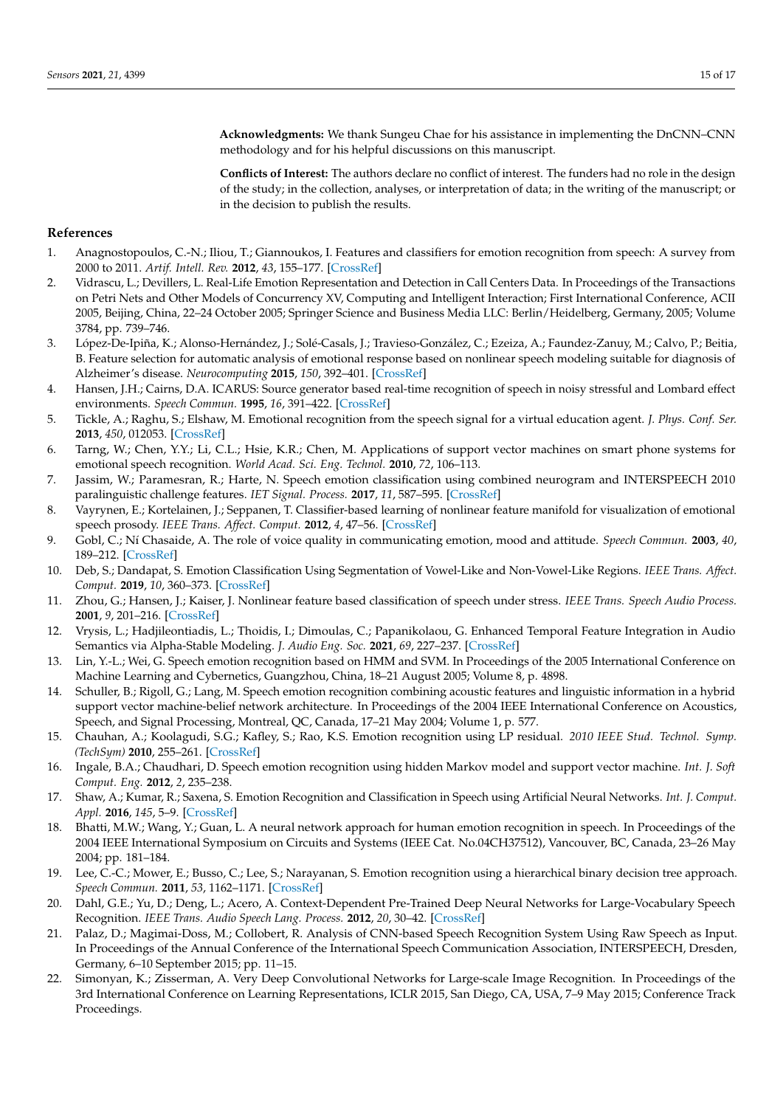**Acknowledgments:** We thank Sungeu Chae for his assistance in implementing the DnCNN–CNN methodology and for his helpful discussions on this manuscript.

**Conflicts of Interest:** The authors declare no conflict of interest. The funders had no role in the design of the study; in the collection, analyses, or interpretation of data; in the writing of the manuscript; or in the decision to publish the results.

#### **References**

- <span id="page-14-0"></span>1. Anagnostopoulos, C.-N.; Iliou, T.; Giannoukos, I. Features and classifiers for emotion recognition from speech: A survey from 2000 to 2011. *Artif. Intell. Rev.* **2012**, *43*, 155–177. [\[CrossRef\]](http://doi.org/10.1007/s10462-012-9368-5)
- <span id="page-14-1"></span>2. Vidrascu, L.; Devillers, L. Real-Life Emotion Representation and Detection in Call Centers Data. In Proceedings of the Transactions on Petri Nets and Other Models of Concurrency XV, Computing and Intelligent Interaction; First International Conference, ACII 2005, Beijing, China, 22–24 October 2005; Springer Science and Business Media LLC: Berlin/Heidelberg, Germany, 2005; Volume 3784, pp. 739–746.
- <span id="page-14-2"></span>3. López-De-Ipiña, K.; Alonso-Hernández, J.; Solé-Casals, J.; Travieso-González, C.; Ezeiza, A.; Faundez-Zanuy, M.; Calvo, P.; Beitia, B. Feature selection for automatic analysis of emotional response based on nonlinear speech modeling suitable for diagnosis of Alzheimer's disease. *Neurocomputing* **2015**, *150*, 392–401. [\[CrossRef\]](http://doi.org/10.1016/j.neucom.2014.05.083)
- <span id="page-14-3"></span>4. Hansen, J.H.; Cairns, D.A. ICARUS: Source generator based real-time recognition of speech in noisy stressful and Lombard effect environments. *Speech Commun.* **1995**, *16*, 391–422. [\[CrossRef\]](http://doi.org/10.1016/0167-6393(95)00007-B)
- <span id="page-14-4"></span>5. Tickle, A.; Raghu, S.; Elshaw, M. Emotional recognition from the speech signal for a virtual education agent. *J. Phys. Conf. Ser.* **2013**, *450*, 012053. [\[CrossRef\]](http://doi.org/10.1088/1742-6596/450/1/012053)
- <span id="page-14-5"></span>6. Tarng, W.; Chen, Y.Y.; Li, C.L.; Hsie, K.R.; Chen, M. Applications of support vector machines on smart phone systems for emotional speech recognition. *World Acad. Sci. Eng. Technol.* **2010**, *72*, 106–113.
- <span id="page-14-6"></span>7. Jassim, W.; Paramesran, R.; Harte, N. Speech emotion classification using combined neurogram and INTERSPEECH 2010 paralinguistic challenge features. *IET Signal. Process.* **2017**, *11*, 587–595. [\[CrossRef\]](http://doi.org/10.1049/iet-spr.2016.0336)
- <span id="page-14-7"></span>8. Vayrynen, E.; Kortelainen, J.; Seppanen, T. Classifier-based learning of nonlinear feature manifold for visualization of emotional speech prosody. *IEEE Trans. Affect. Comput.* **2012**, *4*, 47–56. [\[CrossRef\]](http://doi.org/10.1109/T-AFFC.2012.35)
- <span id="page-14-8"></span>9. Gobl, C.; Ní Chasaide, A. The role of voice quality in communicating emotion, mood and attitude. *Speech Commun.* **2003**, *40*, 189–212. [\[CrossRef\]](http://doi.org/10.1016/S0167-6393(02)00082-1)
- <span id="page-14-9"></span>10. Deb, S.; Dandapat, S. Emotion Classification Using Segmentation of Vowel-Like and Non-Vowel-Like Regions. *IEEE Trans. Affect. Comput.* **2019**, *10*, 360–373. [\[CrossRef\]](http://doi.org/10.1109/TAFFC.2017.2730187)
- <span id="page-14-10"></span>11. Zhou, G.; Hansen, J.; Kaiser, J. Nonlinear feature based classification of speech under stress. *IEEE Trans. Speech Audio Process.* **2001**, *9*, 201–216. [\[CrossRef\]](http://doi.org/10.1109/89.905995)
- <span id="page-14-11"></span>12. Vrysis, L.; Hadjileontiadis, L.; Thoidis, I.; Dimoulas, C.; Papanikolaou, G. Enhanced Temporal Feature Integration in Audio Semantics via Alpha-Stable Modeling. *J. Audio Eng. Soc.* **2021**, *69*, 227–237. [\[CrossRef\]](http://doi.org/10.17743/jaes.2021.0001)
- <span id="page-14-12"></span>13. Lin, Y.-L.; Wei, G. Speech emotion recognition based on HMM and SVM. In Proceedings of the 2005 International Conference on Machine Learning and Cybernetics, Guangzhou, China, 18–21 August 2005; Volume 8, p. 4898.
- <span id="page-14-13"></span>14. Schuller, B.; Rigoll, G.; Lang, M. Speech emotion recognition combining acoustic features and linguistic information in a hybrid support vector machine-belief network architecture. In Proceedings of the 2004 IEEE International Conference on Acoustics, Speech, and Signal Processing, Montreal, QC, Canada, 17–21 May 2004; Volume 1, p. 577.
- <span id="page-14-14"></span>15. Chauhan, A.; Koolagudi, S.G.; Kafley, S.; Rao, K.S. Emotion recognition using LP residual. *2010 IEEE Stud. Technol. Symp. (TechSym)* **2010**, 255–261. [\[CrossRef\]](http://doi.org/10.1109/techsym.2010.5469162)
- <span id="page-14-15"></span>16. Ingale, B.A.; Chaudhari, D. Speech emotion recognition using hidden Markov model and support vector machine. *Int. J. Soft Comput. Eng.* **2012**, *2*, 235–238.
- <span id="page-14-16"></span>17. Shaw, A.; Kumar, R.; Saxena, S. Emotion Recognition and Classification in Speech using Artificial Neural Networks. *Int. J. Comput. Appl.* **2016**, *145*, 5–9. [\[CrossRef\]](http://doi.org/10.5120/ijca2016910710)
- <span id="page-14-17"></span>18. Bhatti, M.W.; Wang, Y.; Guan, L. A neural network approach for human emotion recognition in speech. In Proceedings of the 2004 IEEE International Symposium on Circuits and Systems (IEEE Cat. No.04CH37512), Vancouver, BC, Canada, 23–26 May 2004; pp. 181–184.
- <span id="page-14-18"></span>19. Lee, C.-C.; Mower, E.; Busso, C.; Lee, S.; Narayanan, S. Emotion recognition using a hierarchical binary decision tree approach. *Speech Commun.* **2011**, *53*, 1162–1171. [\[CrossRef\]](http://doi.org/10.1016/j.specom.2011.06.004)
- <span id="page-14-19"></span>20. Dahl, G.E.; Yu, D.; Deng, L.; Acero, A. Context-Dependent Pre-Trained Deep Neural Networks for Large-Vocabulary Speech Recognition. *IEEE Trans. Audio Speech Lang. Process.* **2012**, *20*, 30–42. [\[CrossRef\]](http://doi.org/10.1109/TASL.2011.2134090)
- <span id="page-14-20"></span>21. Palaz, D.; Magimai-Doss, M.; Collobert, R. Analysis of CNN-based Speech Recognition System Using Raw Speech as Input. In Proceedings of the Annual Conference of the International Speech Communication Association, INTERSPEECH, Dresden, Germany, 6–10 September 2015; pp. 11–15.
- <span id="page-14-21"></span>22. Simonyan, K.; Zisserman, A. Very Deep Convolutional Networks for Large-scale Image Recognition. In Proceedings of the 3rd International Conference on Learning Representations, ICLR 2015, San Diego, CA, USA, 7–9 May 2015; Conference Track Proceedings.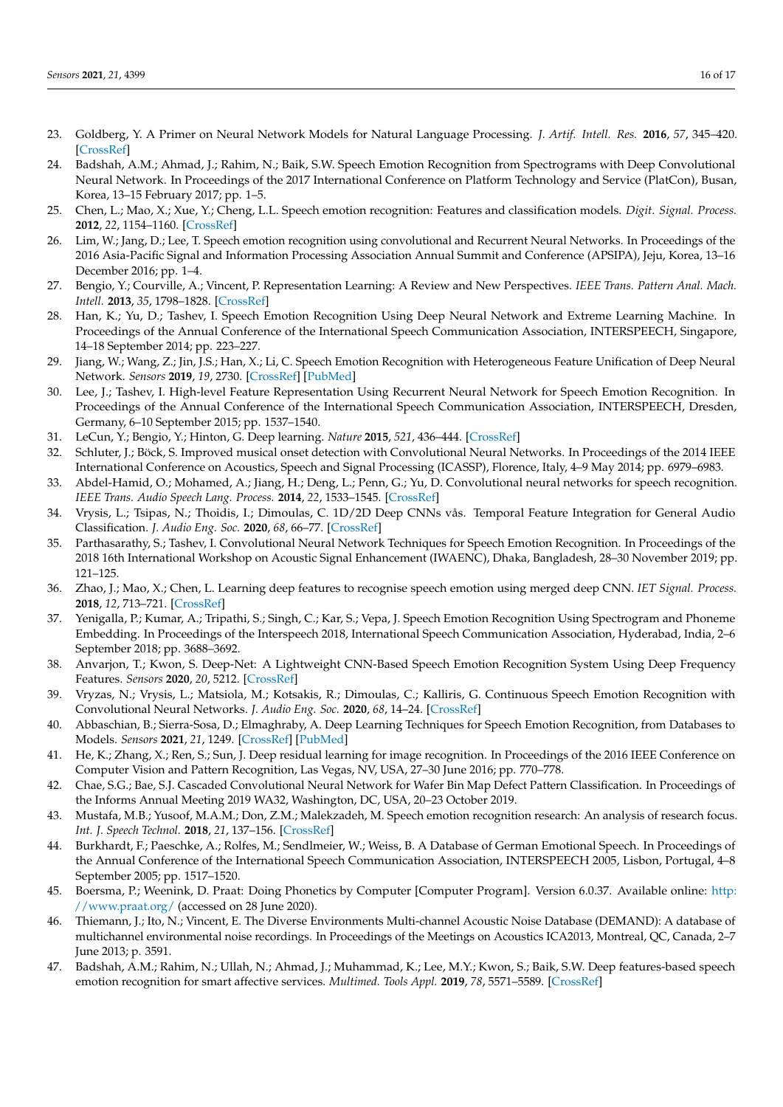- <span id="page-15-0"></span>23. Goldberg, Y. A Primer on Neural Network Models for Natural Language Processing. *J. Artif. Intell. Res.* **2016**, *57*, 345–420. [\[CrossRef\]](http://doi.org/10.1613/jair.4992)
- <span id="page-15-1"></span>24. Badshah, A.M.; Ahmad, J.; Rahim, N.; Baik, S.W. Speech Emotion Recognition from Spectrograms with Deep Convolutional Neural Network. In Proceedings of the 2017 International Conference on Platform Technology and Service (PlatCon), Busan, Korea, 13–15 February 2017; pp. 1–5.
- 25. Chen, L.; Mao, X.; Xue, Y.; Cheng, L.L. Speech emotion recognition: Features and classification models. *Digit. Signal. Process.* **2012**, *22*, 1154–1160. [\[CrossRef\]](http://doi.org/10.1016/j.dsp.2012.05.007)
- <span id="page-15-2"></span>26. Lim, W.; Jang, D.; Lee, T. Speech emotion recognition using convolutional and Recurrent Neural Networks. In Proceedings of the 2016 Asia-Pacific Signal and Information Processing Association Annual Summit and Conference (APSIPA), Jeju, Korea, 13–16 December 2016; pp. 1–4.
- <span id="page-15-3"></span>27. Bengio, Y.; Courville, A.; Vincent, P. Representation Learning: A Review and New Perspectives. *IEEE Trans. Pattern Anal. Mach. Intell.* **2013**, *35*, 1798–1828. [\[CrossRef\]](http://doi.org/10.1109/TPAMI.2013.50)
- <span id="page-15-4"></span>28. Han, K.; Yu, D.; Tashev, I. Speech Emotion Recognition Using Deep Neural Network and Extreme Learning Machine. In Proceedings of the Annual Conference of the International Speech Communication Association, INTERSPEECH, Singapore, 14–18 September 2014; pp. 223–227.
- <span id="page-15-5"></span>29. Jiang, W.; Wang, Z.; Jin, J.S.; Han, X.; Li, C. Speech Emotion Recognition with Heterogeneous Feature Unification of Deep Neural Network. *Sensors* **2019**, *19*, 2730. [\[CrossRef\]](http://doi.org/10.3390/s19122730) [\[PubMed\]](http://www.ncbi.nlm.nih.gov/pubmed/31216650)
- <span id="page-15-6"></span>30. Lee, J.; Tashev, I. High-level Feature Representation Using Recurrent Neural Network for Speech Emotion Recognition. In Proceedings of the Annual Conference of the International Speech Communication Association, INTERSPEECH, Dresden, Germany, 6–10 September 2015; pp. 1537–1540.
- <span id="page-15-7"></span>31. LeCun, Y.; Bengio, Y.; Hinton, G. Deep learning. *Nature* **2015**, *521*, 436–444. [\[CrossRef\]](http://doi.org/10.1038/nature14539)
- <span id="page-15-8"></span>32. Schluter, J.; Böck, S. Improved musical onset detection with Convolutional Neural Networks. In Proceedings of the 2014 IEEE International Conference on Acoustics, Speech and Signal Processing (ICASSP), Florence, Italy, 4–9 May 2014; pp. 6979–6983.
- <span id="page-15-9"></span>33. Abdel-Hamid, O.; Mohamed, A.; Jiang, H.; Deng, L.; Penn, G.; Yu, D. Convolutional neural networks for speech recognition. *IEEE Trans. Audio Speech Lang. Process.* **2014**, *22*, 1533–1545. [\[CrossRef\]](http://doi.org/10.1109/TASLP.2014.2339736)
- <span id="page-15-10"></span>34. Vrysis, L.; Tsipas, N.; Thoidis, I.; Dimoulas, C. 1D/2D Deep CNNs vås. Temporal Feature Integration for General Audio Classification. *J. Audio Eng. Soc.* **2020**, *68*, 66–77. [\[CrossRef\]](http://doi.org/10.17743/jaes.2019.0058)
- <span id="page-15-11"></span>35. Parthasarathy, S.; Tashev, I. Convolutional Neural Network Techniques for Speech Emotion Recognition. In Proceedings of the 2018 16th International Workshop on Acoustic Signal Enhancement (IWAENC), Dhaka, Bangladesh, 28–30 November 2019; pp. 121–125.
- <span id="page-15-12"></span>36. Zhao, J.; Mao, X.; Chen, L. Learning deep features to recognise speech emotion using merged deep CNN. *IET Signal. Process.* **2018**, *12*, 713–721. [\[CrossRef\]](http://doi.org/10.1049/iet-spr.2017.0320)
- <span id="page-15-13"></span>37. Yenigalla, P.; Kumar, A.; Tripathi, S.; Singh, C.; Kar, S.; Vepa, J. Speech Emotion Recognition Using Spectrogram and Phoneme Embedding. In Proceedings of the Interspeech 2018, International Speech Communication Association, Hyderabad, India, 2–6 September 2018; pp. 3688–3692.
- <span id="page-15-14"></span>38. Anvarjon, T.; Kwon, S. Deep-Net: A Lightweight CNN-Based Speech Emotion Recognition System Using Deep Frequency Features. *Sensors* **2020**, *20*, 5212. [\[CrossRef\]](http://doi.org/10.3390/s20185212)
- <span id="page-15-15"></span>39. Vryzas, N.; Vrysis, L.; Matsiola, M.; Kotsakis, R.; Dimoulas, C.; Kalliris, G. Continuous Speech Emotion Recognition with Convolutional Neural Networks. *J. Audio Eng. Soc.* **2020**, *68*, 14–24. [\[CrossRef\]](http://doi.org/10.17743/jaes.2019.0043)
- <span id="page-15-16"></span>40. Abbaschian, B.; Sierra-Sosa, D.; Elmaghraby, A. Deep Learning Techniques for Speech Emotion Recognition, from Databases to Models. *Sensors* **2021**, *21*, 1249. [\[CrossRef\]](http://doi.org/10.3390/s21041249) [\[PubMed\]](http://www.ncbi.nlm.nih.gov/pubmed/33578714)
- <span id="page-15-17"></span>41. He, K.; Zhang, X.; Ren, S.; Sun, J. Deep residual learning for image recognition. In Proceedings of the 2016 IEEE Conference on Computer Vision and Pattern Recognition, Las Vegas, NV, USA, 27–30 June 2016; pp. 770–778.
- <span id="page-15-18"></span>42. Chae, S.G.; Bae, S.J. Cascaded Convolutional Neural Network for Wafer Bin Map Defect Pattern Classification. In Proceedings of the Informs Annual Meeting 2019 WA32, Washington, DC, USA, 20–23 October 2019.
- <span id="page-15-19"></span>43. Mustafa, M.B.; Yusoof, M.A.M.; Don, Z.M.; Malekzadeh, M. Speech emotion recognition research: An analysis of research focus. *Int. J. Speech Technol.* **2018**, *21*, 137–156. [\[CrossRef\]](http://doi.org/10.1007/s10772-018-9493-x)
- <span id="page-15-20"></span>44. Burkhardt, F.; Paeschke, A.; Rolfes, M.; Sendlmeier, W.; Weiss, B. A Database of German Emotional Speech. In Proceedings of the Annual Conference of the International Speech Communication Association, INTERSPEECH 2005, Lisbon, Portugal, 4–8 September 2005; pp. 1517–1520.
- <span id="page-15-21"></span>45. Boersma, P.; Weenink, D. Praat: Doing Phonetics by Computer [Computer Program]. Version 6.0.37. Available online: [http:](http://www.praat.org/) [//www.praat.org/](http://www.praat.org/) (accessed on 28 June 2020).
- <span id="page-15-22"></span>46. Thiemann, J.; Ito, N.; Vincent, E. The Diverse Environments Multi-channel Acoustic Noise Database (DEMAND): A database of multichannel environmental noise recordings. In Proceedings of the Meetings on Acoustics ICA2013, Montreal, QC, Canada, 2–7 June 2013; p. 3591.
- <span id="page-15-23"></span>47. Badshah, A.M.; Rahim, N.; Ullah, N.; Ahmad, J.; Muhammad, K.; Lee, M.Y.; Kwon, S.; Baik, S.W. Deep features-based speech emotion recognition for smart affective services. *Multimed. Tools Appl.* **2019**, *78*, 5571–5589. [\[CrossRef\]](http://doi.org/10.1007/s11042-017-5292-7)